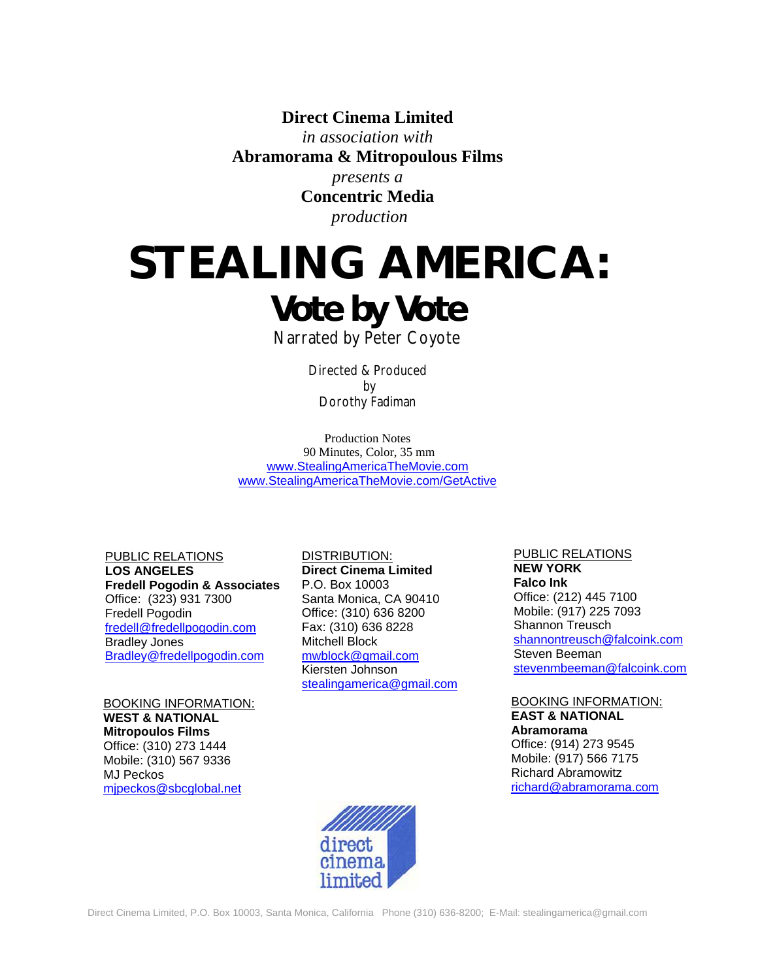**Direct Cinema Limited** 

*in association with*  **Abramorama & Mitropoulous Films**  *presents a* 

**Concentric Media**   *production* 

# **STEALING AMERICA:**  *Vote by Vote*

Narrated by Peter Coyote

Directed & Produced by Dorothy Fadiman

Production Notes 90 Minutes, Color, 35 mm [www.StealingAmericaTheMovie.com](http://www.stealingamericathemovie.com/) [www.StealingAmericaTheMovie.com/GetActive](http://www.stealingamericathemovie.com/GetActive)

PUBLIC RELATIONS **LOS ANGELES Fredell Pogodin & Associates** Office: (323) 931 7300 Fredell Pogodin [fredell@fredellpogodin.com](mailto:fredell@fredellpogodin.com) Bradley Jones [Bradley@fredellpogodin.com](mailto:Bradley@fredellpogodin.com)

BOOKING INFORMATION: **WEST & NATIONAL Mitropoulos Films**  Office: (310) 273 1444 Mobile: (310) 567 9336 MJ Peckos [mjpeckos@sbcglobal.net](mailto:mjpeckos@sbcglobal.net)

 P.O. Box 10003 Santa Monica, CA 90410 Fax: (310) 636 8228 Mitchell Block [mwblock@gmail.com](mailto:mwblock@gmail.com) Kiersten Johnson DISTRIBUTION: **Direct Cinema Limited**  Office: (310) 636 8200 [stealingamerica@gmail.com](mailto:stealingamerica@gmail.com) PUBLIC RELATIONS **NEW YORK Falco Ink**  Office: (212) 445 7100 Mobile: (917) 225 7093 Shannon Treusch [shannontreusch@falcoink.com](mailto:shannontreusch@falcoink.com) Steven Beeman [stevenmbeeman@falcoink.com](mailto:stevenmbeeman@falcoink.com) 

# BOOKING INFORMATION: **EAST & NATIONAL Abramorama** Office: (914) 273 9545 Mobile: (917) 566 7175

Richard Abramowitz [richard@abramorama.com](mailto:richard@abramarama.com)

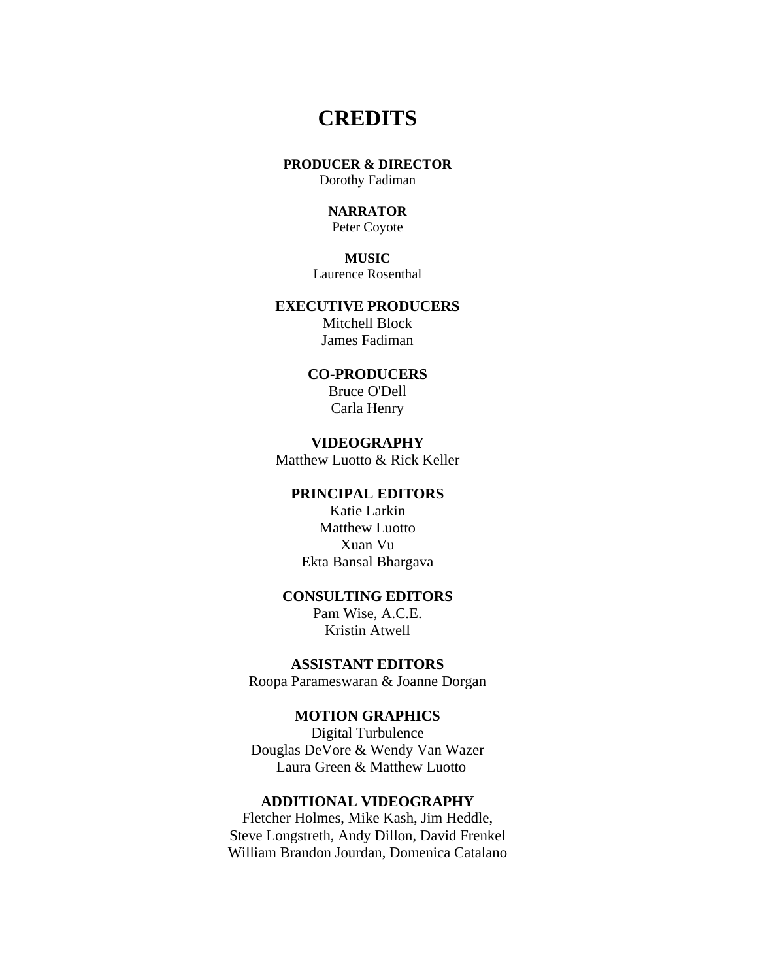# **CREDITS**

# **PRODUCER & DIRECTOR**

Dorothy Fadiman

# **NARRATOR**

Peter Coyote

# **MUSIC**

Laurence Rosenthal

# **EXECUTIVE PRODUCERS**

Mitchell Block James Fadiman

# **CO-PRODUCERS**

Bruce O'Dell Carla Henry

# **VIDEOGRAPHY**

Matthew Luotto & Rick Keller

# **PRINCIPAL EDITORS**

Katie Larkin Matthew Luotto Xuan Vu Ekta Bansal Bhargava

# **CONSULTING EDITORS**

Pam Wise, A.C.E. Kristin Atwell

# **ASSISTANT EDITORS**

Roopa Parameswaran & Joanne Dorgan

# **MOTION GRAPHICS**

Digital Turbulence Douglas DeVore & Wendy Van Wazer Laura Green & Matthew Luotto

# **ADDITIONAL VIDEOGRAPHY**

Fletcher Holmes, Mike Kash, Jim Heddle, Steve Longstreth, Andy Dillon, David Frenkel William Brandon Jourdan, Domenica Catalano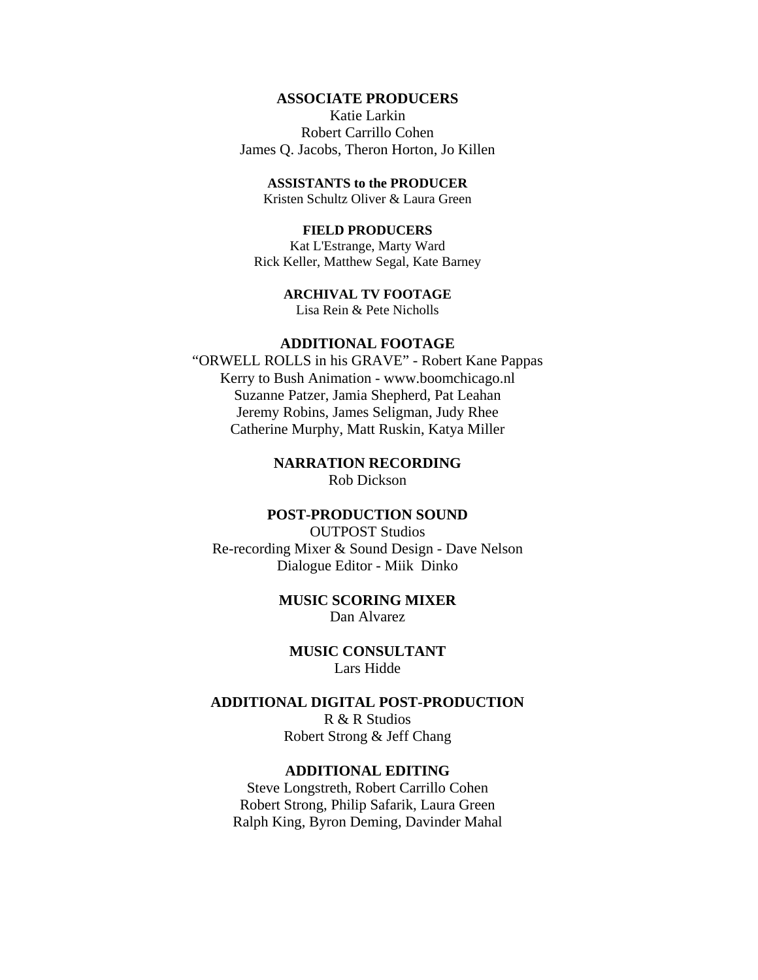# **ASSOCIATE PRODUCERS**

Katie Larkin Robert Carrillo Cohen James Q. Jacobs, Theron Horton, Jo Killen

# **ASSISTANTS to the PRODUCER**

Kristen Schultz Oliver & Laura Green

# **FIELD PRODUCERS**

Kat L'Estrange, Marty Ward Rick Keller, Matthew Segal, Kate Barney

# **ARCHIVAL TV FOOTAGE**

Lisa Rein & Pete Nicholls

# **ADDITIONAL FOOTAGE**

"ORWELL ROLLS in his GRAVE" - Robert Kane Pappas Kerry to Bush Animation - www.boomchicago.nl Suzanne Patzer, Jamia Shepherd, Pat Leahan Jeremy Robins, James Seligman, Judy Rhee Catherine Murphy, Matt Ruskin, Katya Miller

# **NARRATION RECORDING**

Rob Dickson

# **POST-PRODUCTION SOUND**

OUTPOST Studios Re-recording Mixer & Sound Design - Dave Nelson Dialogue Editor - Miik Dinko

# **MUSIC SCORING MIXER** Dan Alvarez

**MUSIC CONSULTANT** Lars Hidde

# **ADDITIONAL DIGITAL POST-PRODUCTION** R & R Studios

Robert Strong & Jeff Chang

# **ADDITIONAL EDITING**

Steve Longstreth, Robert Carrillo Cohen Robert Strong, Philip Safarik, Laura Green Ralph King, Byron Deming, Davinder Mahal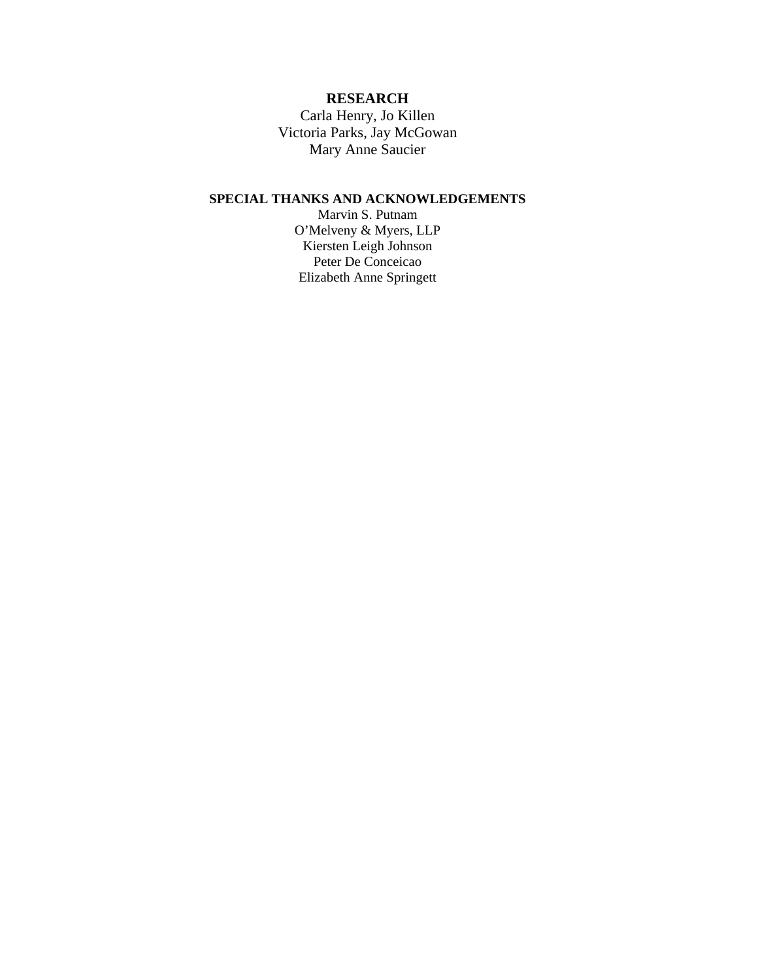# **RESEARCH**

Carla Henry, Jo Killen Victoria Parks, Jay McGowan Mary Anne Saucier

# **SPECIAL THANKS AND ACKNOWLEDGEMENTS**

Marvin S. Putnam O'Melveny & Myers, LLP Kiersten Leigh Johnson Peter De Conceicao Elizabeth Anne Springett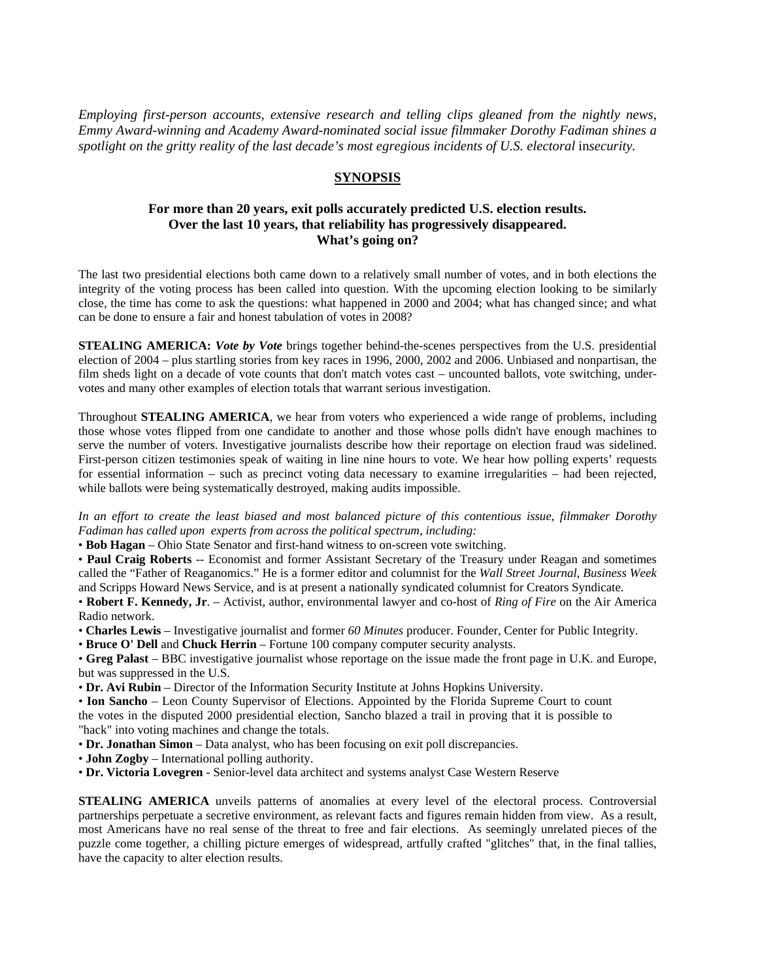*Employing first-person accounts, extensive research and telling clips gleaned from the nightly news, Emmy Award-winning and Academy Award-nominated social issue filmmaker Dorothy Fadiman shines a*  spotlight on the gritty reality of the last decade's most egregious incidents of U.S. electoral *insecurity*.

# **SYNOPSIS**

# **For more than 20 years, exit polls accurately predicted U.S. election results. Over the last 10 years, that reliability has progressively disappeared. What's going on?**

The last two presidential elections both came down to a relatively small number of votes, and in both elections the integrity of the voting process has been called into question. With the upcoming election looking to be similarly close, the time has come to ask the questions: what happened in 2000 and 2004; what has changed since; and what can be done to ensure a fair and honest tabulation of votes in 2008?

**STEALING AMERICA:** Vote by Vote brings together behind-the-scenes perspectives from the U.S. presidential election of 2004 – plus startling stories from key races in 1996, 2000, 2002 and 2006. Unbiased and nonpartisan, the film sheds light on a decade of vote counts that don't match votes cast – uncounted ballots, vote switching, undervotes and many other examples of election totals that warrant serious investigation.

Throughout **STEALING AMERICA**, we hear from voters who experienced a wide range of problems, including those whose votes flipped from one candidate to another and those whose polls didn't have enough machines to serve the number of voters. Investigative journalists describe how their reportage on election fraud was sidelined. First-person citizen testimonies speak of waiting in line nine hours to vote. We hear how polling experts' requests for essential information – such as precinct voting data necessary to examine irregularities – had been rejected, while ballots were being systematically destroyed, making audits impossible.

*In an effort to create the least biased and most balanced picture of this contentious issue, filmmaker Dorothy Fadiman has called upon experts from across the political spectrum, including:* 

• **Bob Hagan** – Ohio State Senator and first-hand witness to on-screen vote switching.

• **Paul Craig Roberts** -- [Economist](http://en.wikipedia.org/wiki/Economist) and former Assistant Secretary of the Treasury under Reagan and sometimes called the "Father of Reaganomics." He is a former editor and columnist for the *[Wall Street Journal](http://en.wikipedia.org/wiki/Wall_Street_Journal)*, *[Business Week](http://en.wikipedia.org/wiki/Business_Week)* and [Scripps Howard News Service,](http://en.wikipedia.org/wiki/Scripps_Howard_News_Service) and is at present a nationally syndicated columnist for [Creators Syndicate.](http://en.wikipedia.org/wiki/Creators_Syndicate)

• **Robert F. Kennedy, Jr**. – Activist, author, [environmental lawyer](http://en.wikipedia.org/wiki/Environmental_law) and co-host of *[Ring of Fire](http://en.wikipedia.org/wiki/Ring_of_Fire_%28radio_program%29)* on the [Air America](http://en.wikipedia.org/wiki/Air_America_Radio)  [Radio](http://en.wikipedia.org/wiki/Air_America_Radio) network.

• **Charles Lewis** – Investigative journalist and former *60 Minutes* producer. Founder, Center for Public Integrity.

• **Bruce O' Dell** and **Chuck Herrin** – Fortune 100 company computer security analysts.

• **Greg Palast** – BBC investigative journalist whose reportage on the issue made the front page in U.K. and Europe, but was suppressed in the U.S.

• **Dr. Avi Rubin** – Director of the Information Security Institute at Johns Hopkins University.

• **Ion Sancho** – Leon County Supervisor of Elections. Appointed by the Florida Supreme Court to count the votes in the disputed 2000 presidential election, Sancho blazed a trail in proving that it is possible to "hack" into voting machines and change the totals.

• **Dr. Jonathan Simon** – Data analyst, who has been focusing on exit poll discrepancies.

• **John Zogby** – International polling authority.

• **Dr. Victoria Lovegren** - Senior-level data architect and systems analyst Case Western Reserve

**STEALING AMERICA** unveils patterns of anomalies at every level of the electoral process. Controversial partnerships perpetuate a secretive environment, as relevant facts and figures remain hidden from view. As a result, most Americans have no real sense of the threat to free and fair elections. As seemingly unrelated pieces of the puzzle come together, a chilling picture emerges of widespread, artfully crafted "glitches" that, in the final tallies, have the capacity to alter election results.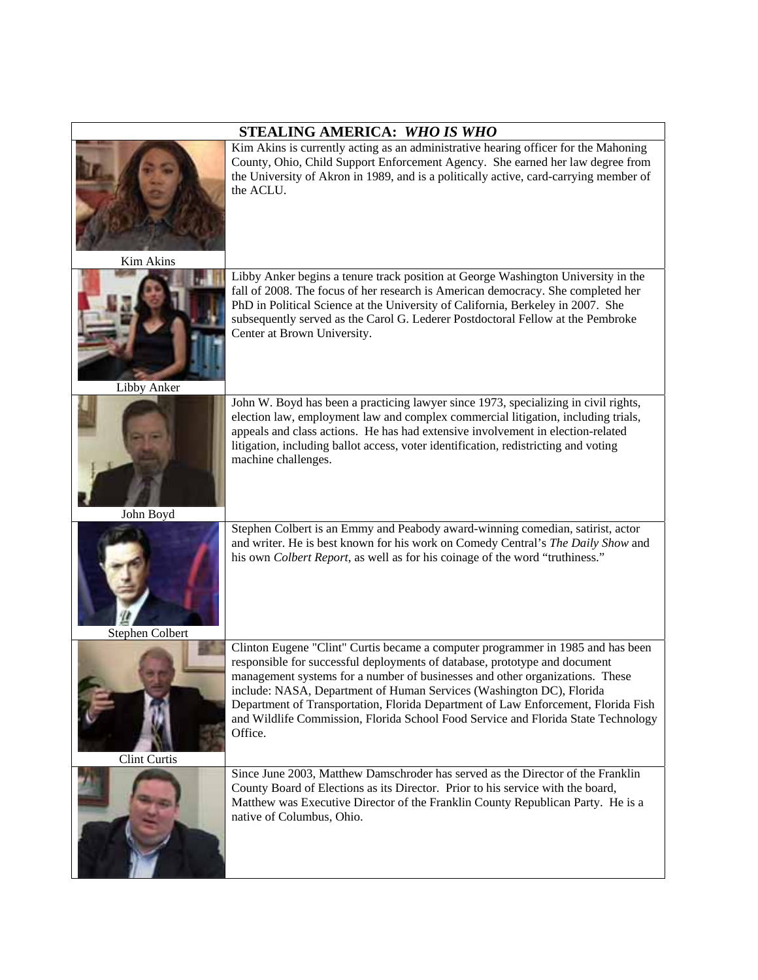| STEALING AMERICA: WHO IS WHO |                                                                                                                                                                                                                                                                                                                                                                                                                                                                                                            |  |
|------------------------------|------------------------------------------------------------------------------------------------------------------------------------------------------------------------------------------------------------------------------------------------------------------------------------------------------------------------------------------------------------------------------------------------------------------------------------------------------------------------------------------------------------|--|
| <b>Kim Akins</b>             | Kim Akins is currently acting as an administrative hearing officer for the Mahoning<br>County, Ohio, Child Support Enforcement Agency. She earned her law degree from<br>the University of Akron in 1989, and is a politically active, card-carrying member of<br>the ACLU.                                                                                                                                                                                                                                |  |
| Libby Anker                  | Libby Anker begins a tenure track position at George Washington University in the<br>fall of 2008. The focus of her research is American democracy. She completed her<br>PhD in Political Science at the University of California, Berkeley in 2007. She<br>subsequently served as the Carol G. Lederer Postdoctoral Fellow at the Pembroke<br>Center at Brown University.                                                                                                                                 |  |
| John Boyd                    | John W. Boyd has been a practicing lawyer since 1973, specializing in civil rights,<br>election law, employment law and complex commercial litigation, including trials,<br>appeals and class actions. He has had extensive involvement in election-related<br>litigation, including ballot access, voter identification, redistricting and voting<br>machine challenges.                                                                                                                                  |  |
| Stephen Colbert              | Stephen Colbert is an Emmy and Peabody award-winning comedian, satirist, actor<br>and writer. He is best known for his work on Comedy Central's The Daily Show and<br>his own Colbert Report, as well as for his coinage of the word "truthiness."                                                                                                                                                                                                                                                         |  |
| Clint Curtis                 | Clinton Eugene "Clint" Curtis became a computer programmer in 1985 and has been<br>responsible for successful deployments of database, prototype and document<br>management systems for a number of businesses and other organizations. These<br>include: NASA, Department of Human Services (Washington DC), Florida<br>Department of Transportation, Florida Department of Law Enforcement, Florida Fish<br>and Wildlife Commission, Florida School Food Service and Florida State Technology<br>Office. |  |
|                              | Since June 2003, Matthew Damschroder has served as the Director of the Franklin<br>County Board of Elections as its Director. Prior to his service with the board,<br>Matthew was Executive Director of the Franklin County Republican Party. He is a<br>native of Columbus, Ohio.                                                                                                                                                                                                                         |  |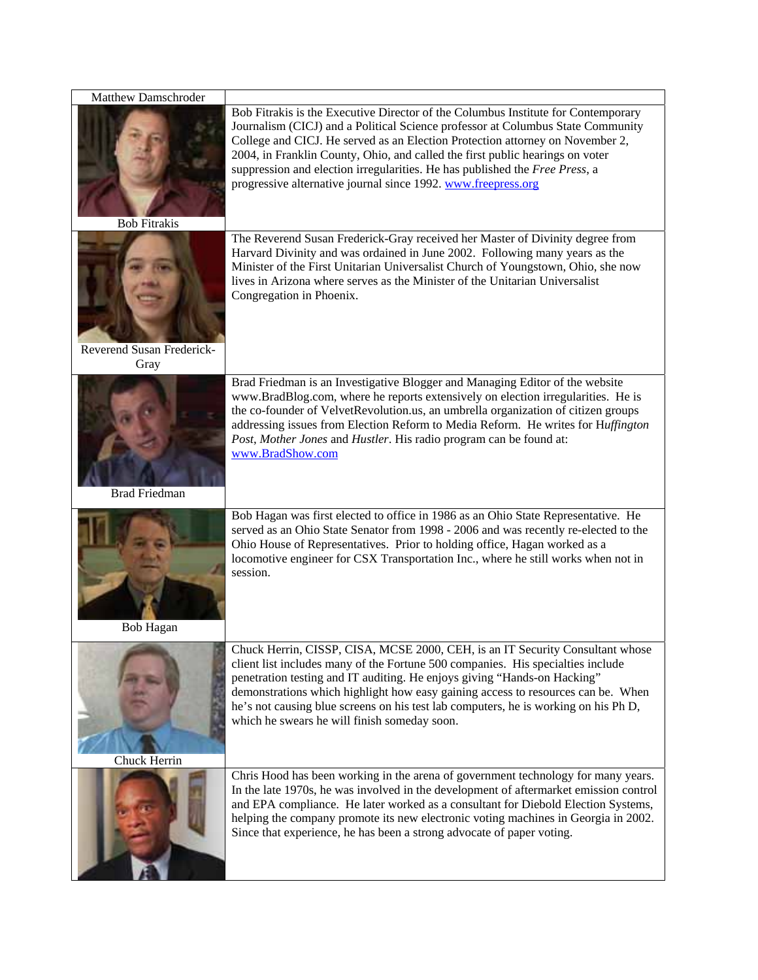| Matthew Damschroder       |                                                                                                                                                                                                                                                                                                                                                                                                                                                                                        |
|---------------------------|----------------------------------------------------------------------------------------------------------------------------------------------------------------------------------------------------------------------------------------------------------------------------------------------------------------------------------------------------------------------------------------------------------------------------------------------------------------------------------------|
| <b>Bob Fitrakis</b>       | Bob Fitrakis is the Executive Director of the Columbus Institute for Contemporary<br>Journalism (CICJ) and a Political Science professor at Columbus State Community<br>College and CICJ. He served as an Election Protection attorney on November 2,<br>2004, in Franklin County, Ohio, and called the first public hearings on voter<br>suppression and election irregularities. He has published the Free Press, a<br>progressive alternative journal since 1992. www.freepress.org |
|                           | The Reverend Susan Frederick-Gray received her Master of Divinity degree from                                                                                                                                                                                                                                                                                                                                                                                                          |
|                           | Harvard Divinity and was ordained in June 2002. Following many years as the<br>Minister of the First Unitarian Universalist Church of Youngstown, Ohio, she now<br>lives in Arizona where serves as the Minister of the Unitarian Universalist<br>Congregation in Phoenix.                                                                                                                                                                                                             |
| Reverend Susan Frederick- |                                                                                                                                                                                                                                                                                                                                                                                                                                                                                        |
| Gray                      |                                                                                                                                                                                                                                                                                                                                                                                                                                                                                        |
| <b>Brad Friedman</b>      | Brad Friedman is an Investigative Blogger and Managing Editor of the website<br>www.BradBlog.com, where he reports extensively on election irregularities. He is<br>the co-founder of VelvetRevolution.us, an umbrella organization of citizen groups<br>addressing issues from Election Reform to Media Reform. He writes for Huffington<br>Post, Mother Jones and Hustler. His radio program can be found at:<br>www.BradShow.com                                                    |
|                           | Bob Hagan was first elected to office in 1986 as an Ohio State Representative. He                                                                                                                                                                                                                                                                                                                                                                                                      |
| <b>Bob Hagan</b>          | served as an Ohio State Senator from 1998 - 2006 and was recently re-elected to the<br>Ohio House of Representatives. Prior to holding office, Hagan worked as a<br>locomotive engineer for CSX Transportation Inc., where he still works when not in<br>session.                                                                                                                                                                                                                      |
|                           | Chuck Herrin, CISSP, CISA, MCSE 2000, CEH, is an IT Security Consultant whose                                                                                                                                                                                                                                                                                                                                                                                                          |
|                           | client list includes many of the Fortune 500 companies. His specialties include<br>penetration testing and IT auditing. He enjoys giving "Hands-on Hacking"<br>demonstrations which highlight how easy gaining access to resources can be. When<br>he's not causing blue screens on his test lab computers, he is working on his Ph D,<br>which he swears he will finish someday soon.                                                                                                 |
| Chuck Herrin              |                                                                                                                                                                                                                                                                                                                                                                                                                                                                                        |
|                           | Chris Hood has been working in the arena of government technology for many years.<br>In the late 1970s, he was involved in the development of aftermarket emission control<br>and EPA compliance. He later worked as a consultant for Diebold Election Systems,<br>helping the company promote its new electronic voting machines in Georgia in 2002.<br>Since that experience, he has been a strong advocate of paper voting.                                                         |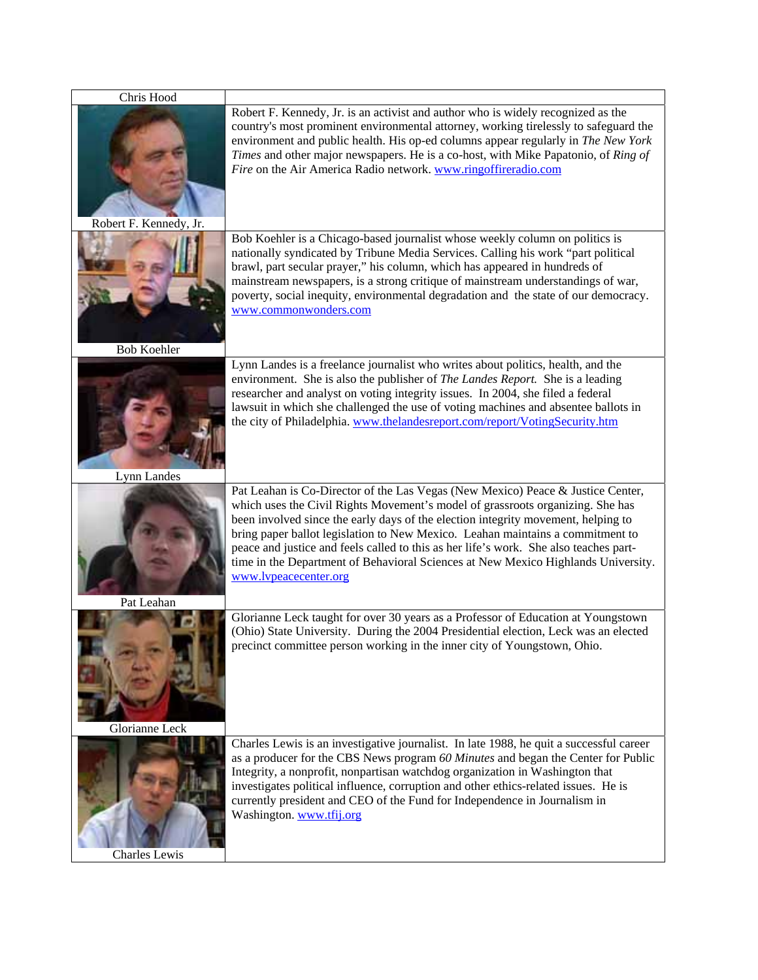| Chris Hood             |                                                                                                                                                                                                                                                                                                                                                                                                                                                                                                                                                 |
|------------------------|-------------------------------------------------------------------------------------------------------------------------------------------------------------------------------------------------------------------------------------------------------------------------------------------------------------------------------------------------------------------------------------------------------------------------------------------------------------------------------------------------------------------------------------------------|
| Robert F. Kennedy, Jr. | Robert F. Kennedy, Jr. is an activist and author who is widely recognized as the<br>country's most prominent environmental attorney, working tirelessly to safeguard the<br>environment and public health. His op-ed columns appear regularly in The New York<br>Times and other major newspapers. He is a co-host, with Mike Papatonio, of Ring of<br>Fire on the Air America Radio network. www.ringoffireradio.com                                                                                                                           |
|                        | Bob Koehler is a Chicago-based journalist whose weekly column on politics is                                                                                                                                                                                                                                                                                                                                                                                                                                                                    |
| <b>Bob Koehler</b>     | nationally syndicated by Tribune Media Services. Calling his work "part political<br>brawl, part secular prayer," his column, which has appeared in hundreds of<br>mainstream newspapers, is a strong critique of mainstream understandings of war,<br>poverty, social inequity, environmental degradation and the state of our democracy.<br>www.commonwonders.com                                                                                                                                                                             |
|                        |                                                                                                                                                                                                                                                                                                                                                                                                                                                                                                                                                 |
|                        | Lynn Landes is a freelance journalist who writes about politics, health, and the<br>environment. She is also the publisher of <i>The Landes Report</i> . She is a leading<br>researcher and analyst on voting integrity issues. In 2004, she filed a federal<br>lawsuit in which she challenged the use of voting machines and absentee ballots in<br>the city of Philadelphia. www.thelandesreport.com/report/VotingSecurity.htm                                                                                                               |
| Lynn Landes            |                                                                                                                                                                                                                                                                                                                                                                                                                                                                                                                                                 |
| Pat Leahan             | Pat Leahan is Co-Director of the Las Vegas (New Mexico) Peace & Justice Center,<br>which uses the Civil Rights Movement's model of grassroots organizing. She has<br>been involved since the early days of the election integrity movement, helping to<br>bring paper ballot legislation to New Mexico. Leahan maintains a commitment to<br>peace and justice and feels called to this as her life's work. She also teaches part-<br>time in the Department of Behavioral Sciences at New Mexico Highlands University.<br>www.lypeacecenter.org |
|                        | Glorianne Leck taught for over 30 years as a Professor of Education at Youngstown                                                                                                                                                                                                                                                                                                                                                                                                                                                               |
| Glorianne Leck         | (Ohio) State University. During the 2004 Presidential election, Leck was an elected<br>precinct committee person working in the inner city of Youngstown, Ohio.                                                                                                                                                                                                                                                                                                                                                                                 |
|                        | Charles Lewis is an investigative journalist. In late 1988, he quit a successful career                                                                                                                                                                                                                                                                                                                                                                                                                                                         |
| Charles Lewis          | as a producer for the CBS News program 60 Minutes and began the Center for Public<br>Integrity, a nonprofit, nonpartisan watchdog organization in Washington that<br>investigates political influence, corruption and other ethics-related issues. He is<br>currently president and CEO of the Fund for Independence in Journalism in<br>Washington. www.tfij.org                                                                                                                                                                               |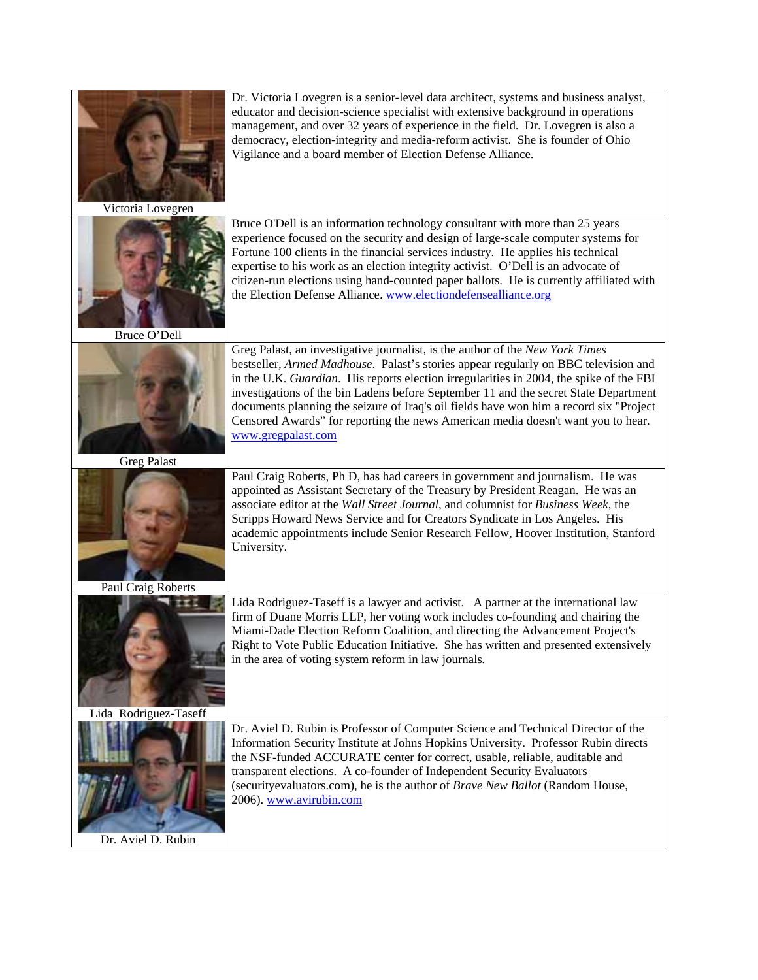| Victoria Lovegren     | Dr. Victoria Lovegren is a senior-level data architect, systems and business analyst,<br>educator and decision-science specialist with extensive background in operations<br>management, and over 32 years of experience in the field. Dr. Lovegren is also a<br>democracy, election-integrity and media-reform activist. She is founder of Ohio<br>Vigilance and a board member of Election Defense Alliance.                                                                                                                                              |
|-----------------------|-------------------------------------------------------------------------------------------------------------------------------------------------------------------------------------------------------------------------------------------------------------------------------------------------------------------------------------------------------------------------------------------------------------------------------------------------------------------------------------------------------------------------------------------------------------|
| Bruce O'Dell          | Bruce O'Dell is an information technology consultant with more than 25 years<br>experience focused on the security and design of large-scale computer systems for<br>Fortune 100 clients in the financial services industry. He applies his technical<br>expertise to his work as an election integrity activist. O'Dell is an advocate of<br>citizen-run elections using hand-counted paper ballots. He is currently affiliated with<br>the Election Defense Alliance. www.electiondefensealliance.org                                                     |
| <b>Greg Palast</b>    | Greg Palast, an investigative journalist, is the author of the New York Times<br>bestseller, Armed Madhouse. Palast's stories appear regularly on BBC television and<br>in the U.K. Guardian. His reports election irregularities in 2004, the spike of the FBI<br>investigations of the bin Ladens before September 11 and the secret State Department<br>documents planning the seizure of Iraq's oil fields have won him a record six "Project<br>Censored Awards" for reporting the news American media doesn't want you to hear.<br>www.gregpalast.com |
| Paul Craig Roberts    | Paul Craig Roberts, Ph D, has had careers in government and journalism. He was<br>appointed as Assistant Secretary of the Treasury by President Reagan. He was an<br>associate editor at the Wall Street Journal, and columnist for Business Week, the<br>Scripps Howard News Service and for Creators Syndicate in Los Angeles. His<br>academic appointments include Senior Research Fellow, Hoover Institution, Stanford<br>University.                                                                                                                   |
| Lida Rodriguez-Taseff | Lida Rodriguez-Taseff is a lawyer and activist. A partner at the international law<br>firm of Duane Morris LLP, her voting work includes co-founding and chairing the<br>Miami-Dade Election Reform Coalition, and directing the Advancement Project's<br>Right to Vote Public Education Initiative. She has written and presented extensively<br>in the area of voting system reform in law journals.                                                                                                                                                      |
| Dr. Aviel D. Rubin    | Dr. Aviel D. Rubin is Professor of Computer Science and Technical Director of the<br>Information Security Institute at Johns Hopkins University. Professor Rubin directs<br>the NSF-funded ACCURATE center for correct, usable, reliable, auditable and<br>transparent elections. A co-founder of Independent Security Evaluators<br>(security evaluators.com), he is the author of Brave New Ballot (Random House,<br>2006). www.avirubin.com                                                                                                              |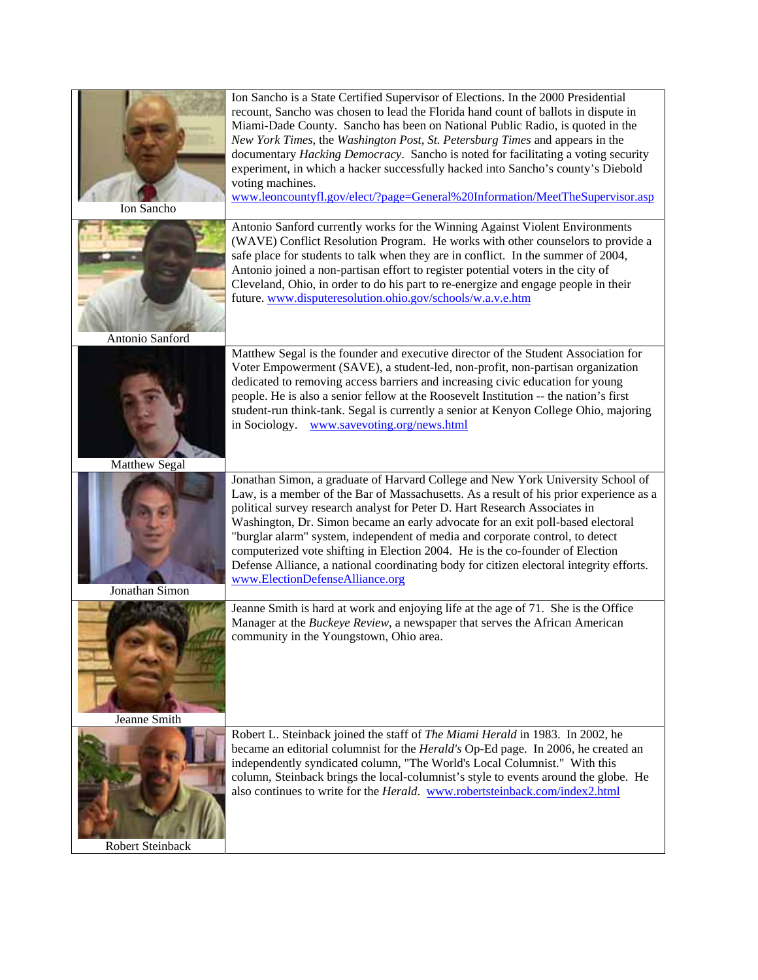| Ion Sancho       | Ion Sancho is a State Certified Supervisor of Elections. In the 2000 Presidential<br>recount, Sancho was chosen to lead the Florida hand count of ballots in dispute in<br>Miami-Dade County. Sancho has been on National Public Radio, is quoted in the<br>New York Times, the Washington Post, St. Petersburg Times and appears in the<br>documentary Hacking Democracy. Sancho is noted for facilitating a voting security<br>experiment, in which a hacker successfully hacked into Sancho's county's Diebold<br>voting machines.<br>www.leoncountyfl.gov/elect/?page=General%20Information/MeetTheSupervisor.asp                      |
|------------------|--------------------------------------------------------------------------------------------------------------------------------------------------------------------------------------------------------------------------------------------------------------------------------------------------------------------------------------------------------------------------------------------------------------------------------------------------------------------------------------------------------------------------------------------------------------------------------------------------------------------------------------------|
| Antonio Sanford  | Antonio Sanford currently works for the Winning Against Violent Environments<br>(WAVE) Conflict Resolution Program. He works with other counselors to provide a<br>safe place for students to talk when they are in conflict. In the summer of 2004,<br>Antonio joined a non-partisan effort to register potential voters in the city of<br>Cleveland, Ohio, in order to do his part to re-energize and engage people in their<br>future. www.disputeresolution.ohio.gov/schools/w.a.v.e.htm                                                                                                                                               |
| Matthew Segal    | Matthew Segal is the founder and executive director of the Student Association for<br>Voter Empowerment (SAVE), a student-led, non-profit, non-partisan organization<br>dedicated to removing access barriers and increasing civic education for young<br>people. He is also a senior fellow at the Roosevelt Institution -- the nation's first<br>student-run think-tank. Segal is currently a senior at Kenyon College Ohio, majoring<br>in Sociology.<br>www.savevoting.org/news.html                                                                                                                                                   |
| Jonathan Simon   | Jonathan Simon, a graduate of Harvard College and New York University School of<br>Law, is a member of the Bar of Massachusetts. As a result of his prior experience as a<br>political survey research analyst for Peter D. Hart Research Associates in<br>Washington, Dr. Simon became an early advocate for an exit poll-based electoral<br>"burglar alarm" system, independent of media and corporate control, to detect<br>computerized vote shifting in Election 2004. He is the co-founder of Election<br>Defense Alliance, a national coordinating body for citizen electoral integrity efforts.<br>www.ElectionDefenseAlliance.org |
| Jeanne Smith     | Jeanne Smith is hard at work and enjoying life at the age of 71. She is the Office<br>Manager at the Buckeye Review, a newspaper that serves the African American<br>community in the Youngstown, Ohio area.                                                                                                                                                                                                                                                                                                                                                                                                                               |
| Robert Steinback | Robert L. Steinback joined the staff of The Miami Herald in 1983. In 2002, he<br>became an editorial columnist for the <i>Herald's</i> Op-Ed page. In 2006, he created an<br>independently syndicated column, "The World's Local Columnist." With this<br>column, Steinback brings the local-columnist's style to events around the globe. He<br>also continues to write for the <i>Herald</i> . www.robertsteinback.com/index2.html                                                                                                                                                                                                       |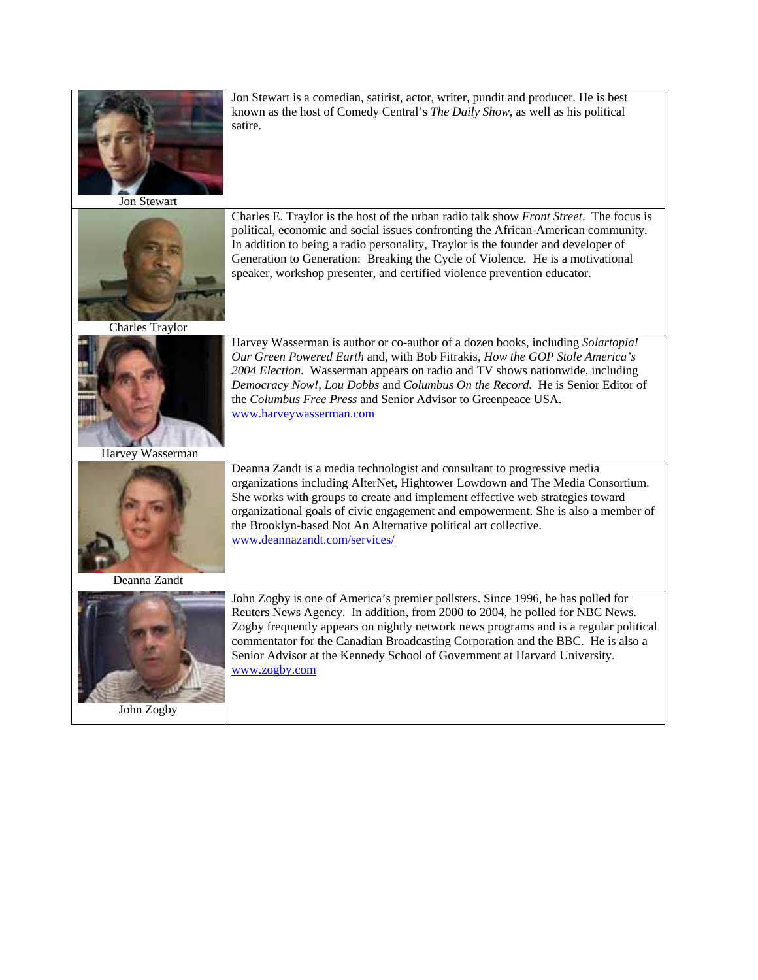|                        | organizations including AlterNet, Hightower Lowdown and The Media Consortium.<br>She works with groups to create and implement effective web strategies toward<br>organizational goals of civic engagement and empowerment. She is also a member of<br>the Brooklyn-based Not An Alternative political art collective.<br>www.deannazandt.com/services/                                                                        |
|------------------------|--------------------------------------------------------------------------------------------------------------------------------------------------------------------------------------------------------------------------------------------------------------------------------------------------------------------------------------------------------------------------------------------------------------------------------|
| Harvey Wasserman       | Deanna Zandt is a media technologist and consultant to progressive media                                                                                                                                                                                                                                                                                                                                                       |
|                        | Harvey Wasserman is author or co-author of a dozen books, including Solartopia!<br>Our Green Powered Earth and, with Bob Fitrakis, How the GOP Stole America's<br>2004 Election. Wasserman appears on radio and TV shows nationwide, including<br>Democracy Now!, Lou Dobbs and Columbus On the Record. He is Senior Editor of<br>the Columbus Free Press and Senior Advisor to Greenpeace USA.<br>www.harveywasserman.com     |
| <b>Charles Traylor</b> | Charles E. Traylor is the host of the urban radio talk show Front Street. The focus is<br>political, economic and social issues confronting the African-American community.<br>In addition to being a radio personality, Traylor is the founder and developer of<br>Generation to Generation: Breaking the Cycle of Violence. He is a motivational<br>speaker, workshop presenter, and certified violence prevention educator. |
| <b>Jon Stewart</b>     | Jon Stewart is a comedian, satirist, actor, writer, pundit and producer. He is best<br>known as the host of Comedy Central's The Daily Show, as well as his political<br>satire.                                                                                                                                                                                                                                               |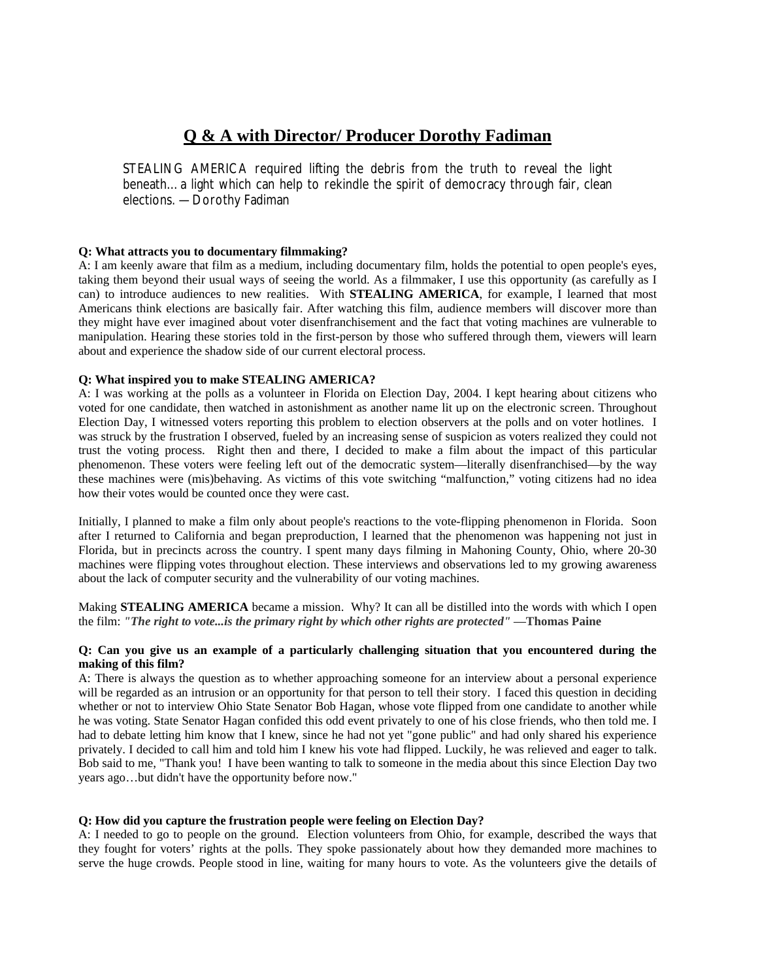# **Q & A with Director/ Producer Dorothy Fadiman**

STEALING AMERICA required lifting the debris from the truth to reveal the light beneath…a light which can help to rekindle the spirit of democracy through fair, clean elections. —Dorothy Fadiman

## **Q: What attracts you to documentary filmmaking?**

A: I am keenly aware that film as a medium, including documentary film, holds the potential to open people's eyes, taking them beyond their usual ways of seeing the world. As a filmmaker, I use this opportunity (as carefully as I can) to introduce audiences to new realities. With **STEALING AMERICA**, for example, I learned that most Americans think elections are basically fair. After watching this film, audience members will discover more than they might have ever imagined about voter disenfranchisement and the fact that voting machines are vulnerable to manipulation. Hearing these stories told in the first-person by those who suffered through them, viewers will learn about and experience the shadow side of our current electoral process.

#### **Q: What inspired you to make STEALING AMERICA?**

A: I was working at the polls as a volunteer in Florida on Election Day, 2004. I kept hearing about citizens who voted for one candidate, then watched in astonishment as another name lit up on the electronic screen. Throughout Election Day, I witnessed voters reporting this problem to election observers at the polls and on voter hotlines. I was struck by the frustration I observed, fueled by an increasing sense of suspicion as voters realized they could not trust the voting process. Right then and there, I decided to make a film about the impact of this particular phenomenon. These voters were feeling left out of the democratic system—literally disenfranchised—by the way these machines were (mis)behaving. As victims of this vote switching "malfunction," voting citizens had no idea how their votes would be counted once they were cast.

Initially, I planned to make a film only about people's reactions to the vote-flipping phenomenon in Florida. Soon after I returned to California and began preproduction, I learned that the phenomenon was happening not just in Florida, but in precincts across the country. I spent many days filming in Mahoning County, Ohio, where 20-30 machines were flipping votes throughout election. These interviews and observations led to my growing awareness about the lack of computer security and the vulnerability of our voting machines.

Making **STEALING AMERICA** became a mission. Why? It can all be distilled into the words with which I open the film: *"The right to vote...is the primary right by which other rights are protected"* —**Thomas Paine**

#### **Q: Can you give us an example of a particularly challenging situation that you encountered during the making of this film?**

A: There is always the question as to whether approaching someone for an interview about a personal experience will be regarded as an intrusion or an opportunity for that person to tell their story. I faced this question in deciding whether or not to interview Ohio State Senator Bob Hagan, whose vote flipped from one candidate to another while he was voting. State Senator Hagan confided this odd event privately to one of his close friends, who then told me. I had to debate letting him know that I knew, since he had not yet "gone public" and had only shared his experience privately. I decided to call him and told him I knew his vote had flipped. Luckily, he was relieved and eager to talk. Bob said to me, "Thank you! I have been wanting to talk to someone in the media about this since Election Day two years ago…but didn't have the opportunity before now."

#### **Q: How did you capture the frustration people were feeling on Election Day?**

A: I needed to go to people on the ground. Election volunteers from Ohio, for example, described the ways that they fought for voters' rights at the polls. They spoke passionately about how they demanded more machines to serve the huge crowds. People stood in line, waiting for many hours to vote. As the volunteers give the details of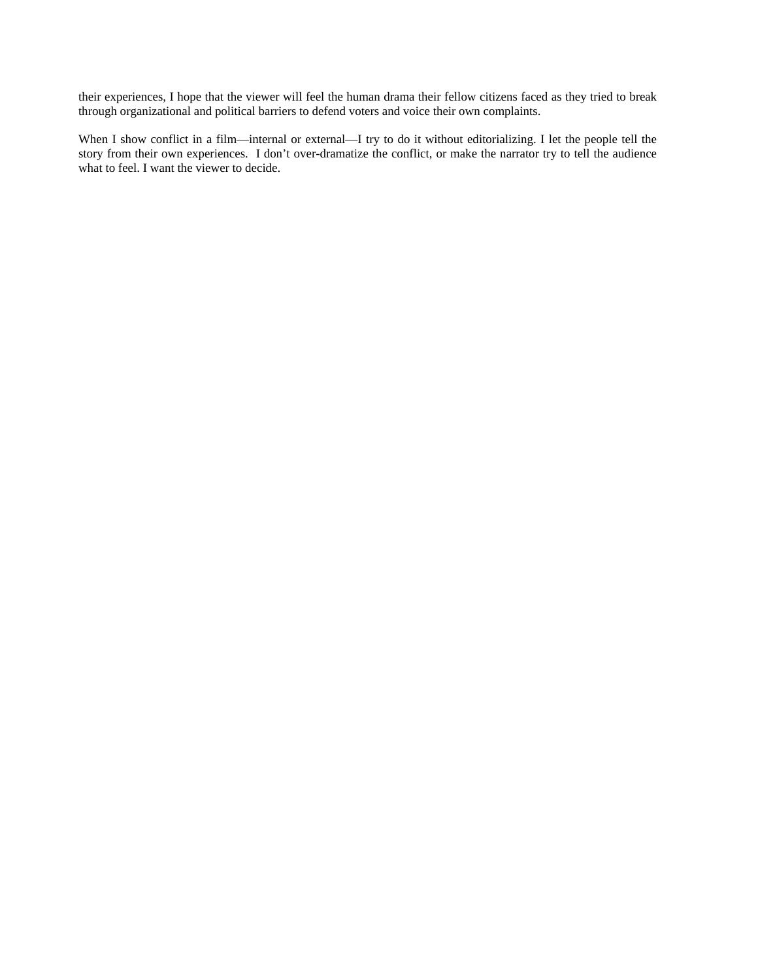their experiences, I hope that the viewer will feel the human drama their fellow citizens faced as they tried to break through organizational and political barriers to defend voters and voice their own complaints.

When I show conflict in a film—internal or external—I try to do it without editorializing. I let the people tell the story from their own experiences. I don't over-dramatize the conflict, or make the narrator try to tell the audience what to feel. I want the viewer to decide.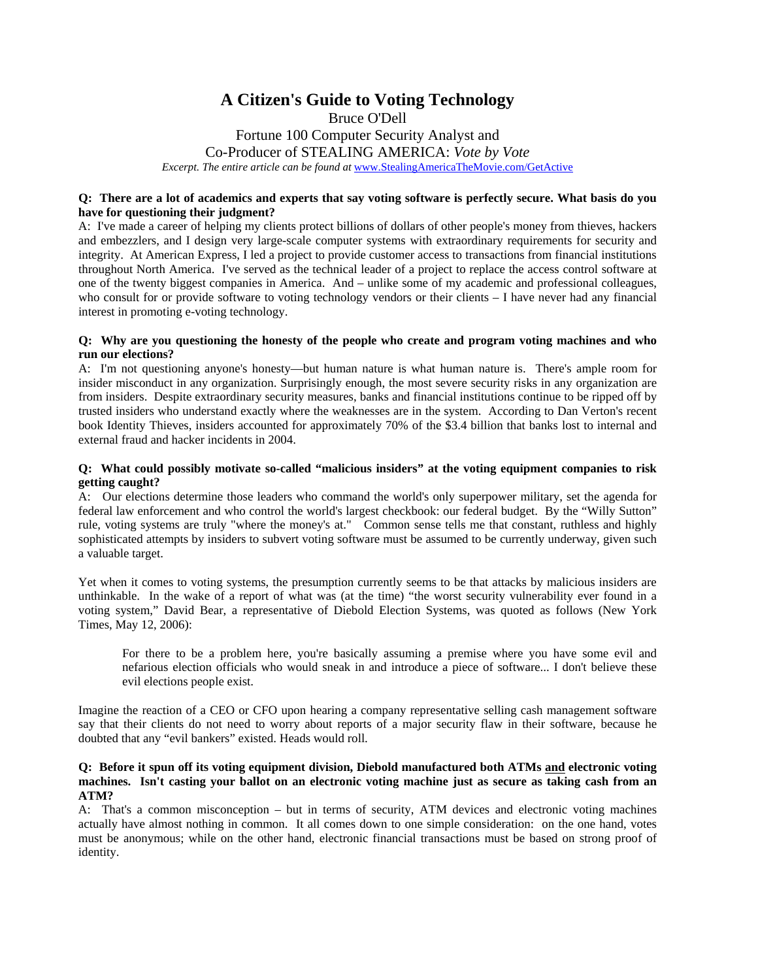# **A Citizen's Guide to Voting Technology**

Bruce O'Dell Fortune 100 Computer Security Analyst and Co-Producer of STEALING AMERICA: *Vote by Vote Excerpt. The entire article can be found at [www.StealingAmericaTheMovie.com/GetActive](http://www.stealingamericathemovie.com/GetActive)* 

#### **Q: There are a lot of academics and experts that say voting software is perfectly secure. What basis do you have for questioning their judgment?**

A: I've made a career of helping my clients protect billions of dollars of other people's money from thieves, hackers and embezzlers, and I design very large-scale computer systems with extraordinary requirements for security and integrity. At American Express, I led a project to provide customer access to transactions from financial institutions throughout North America. I've served as the technical leader of a project to replace the access control software at one of the twenty biggest companies in America. And – unlike some of my academic and professional colleagues, who consult for or provide software to voting technology vendors or their clients – I have never had any financial interest in promoting e-voting technology.

#### **Q: Why are you questioning the honesty of the people who create and program voting machines and who run our elections?**

A: I'm not questioning anyone's honesty—but human nature is what human nature is. There's ample room for insider misconduct in any organization. Surprisingly enough, the most severe security risks in any organization are from insiders. Despite extraordinary security measures, banks and financial institutions continue to be ripped off by trusted insiders who understand exactly where the weaknesses are in the system. According to Dan Verton's recent book Identity Thieves, insiders accounted for approximately 70% of the \$3.4 billion that banks lost to internal and external fraud and hacker incidents in 2004.

#### **Q: What could possibly motivate so-called "malicious insiders" at the voting equipment companies to risk getting caught?**

A: Our elections determine those leaders who command the world's only superpower military, set the agenda for federal law enforcement and who control the world's largest checkbook: our federal budget. By the "Willy Sutton" rule, voting systems are truly "where the money's at." Common sense tells me that constant, ruthless and highly sophisticated attempts by insiders to subvert voting software must be assumed to be currently underway, given such a valuable target.

Yet when it comes to voting systems, the presumption currently seems to be that attacks by malicious insiders are unthinkable. In the wake of a report of what was (at the time) "the worst security vulnerability ever found in a voting system," David Bear, a representative of Diebold Election Systems, was quoted as follows (New York Times, May 12, 2006):

For there to be a problem here, you're basically assuming a premise where you have some evil and nefarious election officials who would sneak in and introduce a piece of software... I don't believe these evil elections people exist.

Imagine the reaction of a CEO or CFO upon hearing a company representative selling cash management software say that their clients do not need to worry about reports of a major security flaw in their software, because he doubted that any "evil bankers" existed. Heads would roll.

#### **Q: Before it spun off its voting equipment division, Diebold manufactured both ATMs and electronic voting machines. Isn't casting your ballot on an electronic voting machine just as secure as taking cash from an ATM?**

A: That's a common misconception – but in terms of security, ATM devices and electronic voting machines actually have almost nothing in common. It all comes down to one simple consideration: on the one hand, votes must be anonymous; while on the other hand, electronic financial transactions must be based on strong proof of identity.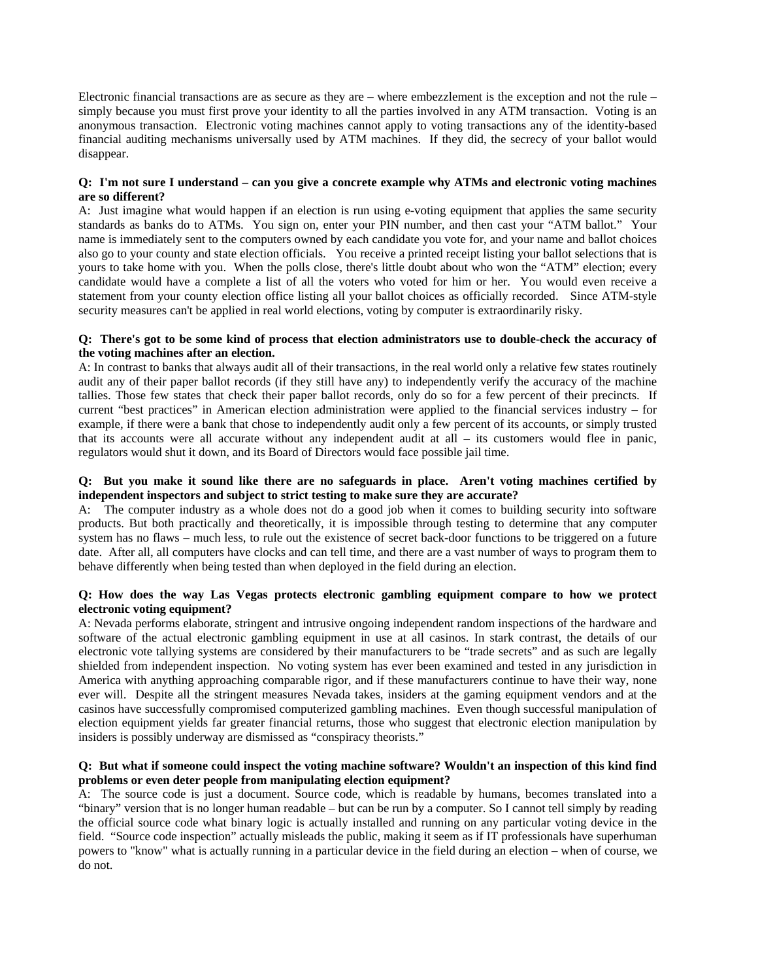Electronic financial transactions are as secure as they are – where embezzlement is the exception and not the rule – simply because you must first prove your identity to all the parties involved in any ATM transaction. Voting is an anonymous transaction. Electronic voting machines cannot apply to voting transactions any of the identity-based financial auditing mechanisms universally used by ATM machines. If they did, the secrecy of your ballot would disappear.

#### **Q: I'm not sure I understand – can you give a concrete example why ATMs and electronic voting machines are so different?**

A: Just imagine what would happen if an election is run using e-voting equipment that applies the same security standards as banks do to ATMs. You sign on, enter your PIN number, and then cast your "ATM ballot." Your name is immediately sent to the computers owned by each candidate you vote for, and your name and ballot choices also go to your county and state election officials. You receive a printed receipt listing your ballot selections that is yours to take home with you. When the polls close, there's little doubt about who won the "ATM" election; every candidate would have a complete a list of all the voters who voted for him or her. You would even receive a statement from your county election office listing all your ballot choices as officially recorded. Since ATM-style security measures can't be applied in real world elections, voting by computer is extraordinarily risky.

#### **Q: There's got to be some kind of process that election administrators use to double-check the accuracy of the voting machines after an election.**

A: In contrast to banks that always audit all of their transactions, in the real world only a relative few states routinely audit any of their paper ballot records (if they still have any) to independently verify the accuracy of the machine tallies. Those few states that check their paper ballot records, only do so for a few percent of their precincts. If current "best practices" in American election administration were applied to the financial services industry – for example, if there were a bank that chose to independently audit only a few percent of its accounts, or simply trusted that its accounts were all accurate without any independent audit at all – its customers would flee in panic, regulators would shut it down, and its Board of Directors would face possible jail time.

#### **Q: But you make it sound like there are no safeguards in place. Aren't voting machines certified by independent inspectors and subject to strict testing to make sure they are accurate?**

A: The computer industry as a whole does not do a good job when it comes to building security into software products. But both practically and theoretically, it is impossible through testing to determine that any computer system has no flaws – much less, to rule out the existence of secret back-door functions to be triggered on a future date. After all, all computers have clocks and can tell time, and there are a vast number of ways to program them to behave differently when being tested than when deployed in the field during an election.

#### **Q: How does the way Las Vegas protects electronic gambling equipment compare to how we protect electronic voting equipment?**

A: Nevada performs elaborate, stringent and intrusive ongoing independent random inspections of the hardware and software of the actual electronic gambling equipment in use at all casinos. In stark contrast, the details of our electronic vote tallying systems are considered by their manufacturers to be "trade secrets" and as such are legally shielded from independent inspection. No voting system has ever been examined and tested in any jurisdiction in America with anything approaching comparable rigor, and if these manufacturers continue to have their way, none ever will. Despite all the stringent measures Nevada takes, insiders at the gaming equipment vendors and at the casinos have successfully compromised computerized gambling machines. Even though successful manipulation of election equipment yields far greater financial returns, those who suggest that electronic election manipulation by insiders is possibly underway are dismissed as "conspiracy theorists."

#### **Q: But what if someone could inspect the voting machine software? Wouldn't an inspection of this kind find problems or even deter people from manipulating election equipment?**

A: The source code is just a document. Source code, which is readable by humans, becomes translated into a "binary" version that is no longer human readable – but can be run by a computer. So I cannot tell simply by reading the official source code what binary logic is actually installed and running on any particular voting device in the field. "Source code inspection" actually misleads the public, making it seem as if IT professionals have superhuman powers to "know" what is actually running in a particular device in the field during an election – when of course, we do not.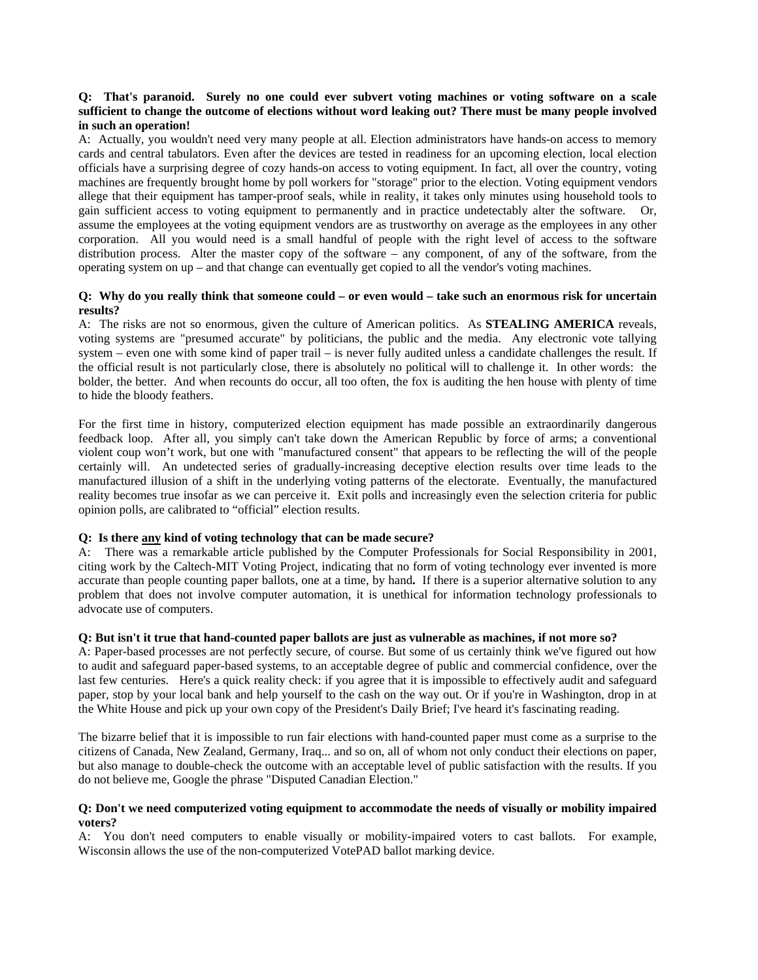#### **Q: That's paranoid. Surely no one could ever subvert voting machines or voting software on a scale sufficient to change the outcome of elections without word leaking out? There must be many people involved in such an operation!**

A: Actually, you wouldn't need very many people at all. Election administrators have hands-on access to memory cards and central tabulators. Even after the devices are tested in readiness for an upcoming election, local election officials have a surprising degree of cozy hands-on access to voting equipment. In fact, all over the country, voting machines are frequently brought home by poll workers for "storage" prior to the election. Voting equipment vendors allege that their equipment has tamper-proof seals, while in reality, it takes only minutes using household tools to gain sufficient access to voting equipment to permanently and in practice undetectably alter the software. Or, assume the employees at the voting equipment vendors are as trustworthy on average as the employees in any other corporation. All you would need is a small handful of people with the right level of access to the software distribution process. Alter the master copy of the software – any component, of any of the software, from the operating system on up – and that change can eventually get copied to all the vendor's voting machines.

#### **Q: Why do you really think that someone could – or even would – take such an enormous risk for uncertain results?**

A: The risks are not so enormous, given the culture of American politics. As **STEALING AMERICA** reveals, voting systems are "presumed accurate" by politicians, the public and the media. Any electronic vote tallying system – even one with some kind of paper trail – is never fully audited unless a candidate challenges the result. If the official result is not particularly close, there is absolutely no political will to challenge it. In other words: the bolder, the better. And when recounts do occur, all too often, the fox is auditing the hen house with plenty of time to hide the bloody feathers.

For the first time in history, computerized election equipment has made possible an extraordinarily dangerous feedback loop. After all, you simply can't take down the American Republic by force of arms; a conventional violent coup won't work, but one with "manufactured consent" that appears to be reflecting the will of the people certainly will. An undetected series of gradually-increasing deceptive election results over time leads to the manufactured illusion of a shift in the underlying voting patterns of the electorate. Eventually, the manufactured reality becomes true insofar as we can perceive it. Exit polls and increasingly even the selection criteria for public opinion polls, are calibrated to "official" election results.

#### **Q: Is there any kind of voting technology that can be made secure?**

A: There was a remarkable article published by the Computer Professionals for Social Responsibility in 2001, citing work by the Caltech-MIT Voting Project, indicating that no form of voting technology ever invented is more accurate than people counting paper ballots, one at a time, by hand**.** If there is a superior alternative solution to any problem that does not involve computer automation, it is unethical for information technology professionals to advocate use of computers.

#### **Q: But isn't it true that hand-counted paper ballots are just as vulnerable as machines, if not more so?**

A: Paper-based processes are not perfectly secure, of course. But some of us certainly think we've figured out how to audit and safeguard paper-based systems, to an acceptable degree of public and commercial confidence, over the last few centuries. Here's a quick reality check: if you agree that it is impossible to effectively audit and safeguard paper, stop by your local bank and help yourself to the cash on the way out. Or if you're in Washington, drop in at the White House and pick up your own copy of the President's Daily Brief; I've heard it's fascinating reading.

The bizarre belief that it is impossible to run fair elections with hand-counted paper must come as a surprise to the citizens of Canada, New Zealand, Germany, Iraq... and so on, all of whom not only conduct their elections on paper, but also manage to double-check the outcome with an acceptable level of public satisfaction with the results. If you do not believe me, Google the phrase "Disputed Canadian Election."

#### **Q: Don't we need computerized voting equipment to accommodate the needs of visually or mobility impaired voters?**

A: You don't need computers to enable visually or mobility-impaired voters to cast ballots. For example, Wisconsin allows the use of the non-computerized VotePAD ballot marking device.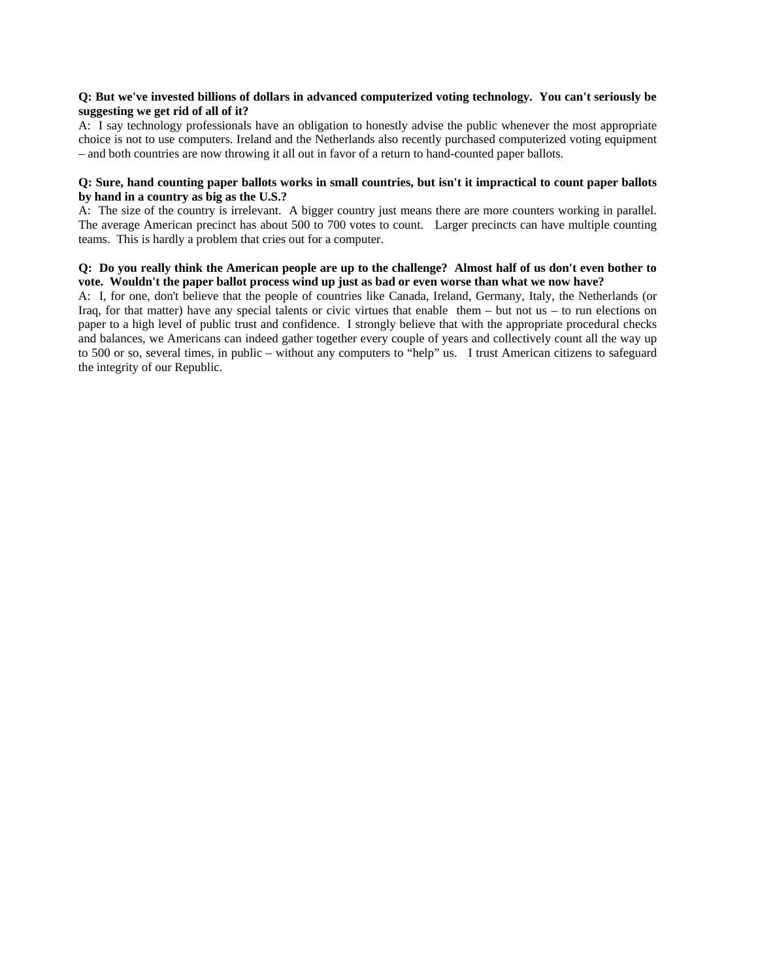#### **Q: But we've invested billions of dollars in advanced computerized voting technology. You can't seriously be suggesting we get rid of all of it?**

A: I say technology professionals have an obligation to honestly advise the public whenever the most appropriate choice is not to use computers. Ireland and the Netherlands also recently purchased computerized voting equipment – and both countries are now throwing it all out in favor of a return to hand-counted paper ballots.

#### **Q: Sure, hand counting paper ballots works in small countries, but isn't it impractical to count paper ballots by hand in a country as big as the U.S.?**

A: The size of the country is irrelevant. A bigger country just means there are more counters working in parallel. The average American precinct has about 500 to 700 votes to count. Larger precincts can have multiple counting teams. This is hardly a problem that cries out for a computer.

#### **Q: Do you really think the American people are up to the challenge? Almost half of us don't even bother to vote. Wouldn't the paper ballot process wind up just as bad or even worse than what we now have?**

A: I, for one, don't believe that the people of countries like Canada, Ireland, Germany, Italy, the Netherlands (or Iraq, for that matter) have any special talents or civic virtues that enable them – but not us – to run elections on paper to a high level of public trust and confidence. I strongly believe that with the appropriate procedural checks and balances, we Americans can indeed gather together every couple of years and collectively count all the way up to 500 or so, several times, in public – without any computers to "help" us. I trust American citizens to safeguard the integrity of our Republic.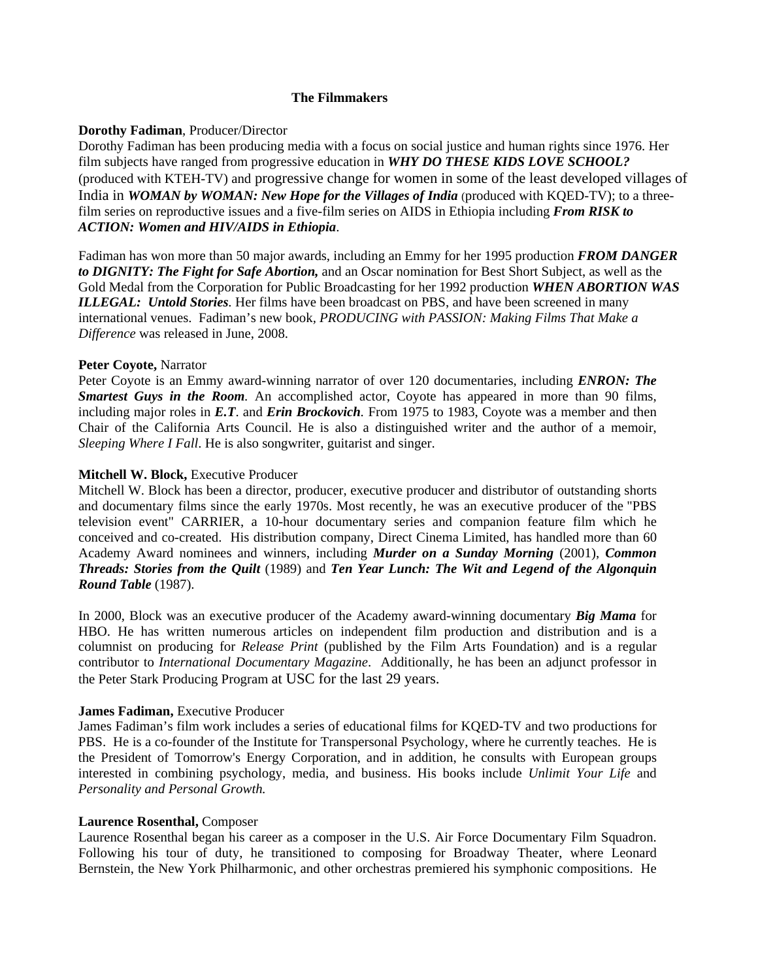# **The Filmmakers**

# **Dorothy Fadiman**, Producer/Director

Dorothy Fadiman has been producing media with a focus on social justice and human rights since 1976. Her film subjects have ranged from progressive education in *WHY DO THESE KIDS LOVE SCHOOL?*  (produced with KTEH-TV) and progressive change for women in some of the least developed villages of India in *WOMAN by WOMAN: New Hope for the Villages of India* (produced with KQED-TV); to a threefilm series on reproductive issues and a five-film series on AIDS in Ethiopia including *From RISK to ACTION: Women and HIV/AIDS in Ethiopia*.

Fadiman has won more than 50 major awards, including an Emmy for her 1995 production *FROM DANGER to DIGNITY: The Fight for Safe Abortion,* and an Oscar nomination for Best Short Subject, as well as the Gold Medal from the Corporation for Public Broadcasting for her 1992 production *WHEN ABORTION WAS ILLEGAL: Untold Stories.* Her films have been broadcast on PBS, and have been screened in many international venues. Fadiman's new book*, PRODUCING with PASSION: Making Films That Make a Difference* was released in June, 2008.

# **Peter Coyote,** Narrator

Peter Coyote is an Emmy award-winning narrator of over 120 documentaries, including *ENRON: The Smartest Guys in the Room.* An accomplished actor, Coyote has appeared in more than 90 films, including major roles in *E.T*. and *Erin Brockovich.* From 1975 to 1983, Coyote was a member and then Chair of the California Arts Council. He is also a distinguished writer and the author of a memoir, *Sleeping Where I Fall*. He is also songwriter, guitarist and singer.

# **Mitchell W. Block,** Executive Producer

Mitchell W. Block has been a director, producer, executive producer and distributor of outstanding shorts and documentary films since the early 1970s. Most recently, he was an executive producer of the "PBS television event" CARRIER, a 10-hour documentary series and companion feature film which he conceived and co-created. His distribution company, Direct Cinema Limited, has handled more than 60 Academy Award nominees and winners, including *Murder on a Sunday Morning* (2001), *Common Threads: Stories from the Quilt* (1989) and *Ten Year Lunch: The Wit and Legend of the Algonquin Round Table* (1987).

In 2000, Block was an executive producer of the Academy award-winning documentary *Big Mama* for HBO. He has written numerous articles on independent film production and distribution and is a columnist on producing for *Release Print* (published by the Film Arts Foundation) and is a regular contributor to *International Documentary Magazine*. Additionally, he has been an adjunct professor in the Peter Stark Producing Program at USC for the last 29 years.

# **James Fadiman,** Executive Producer

James Fadiman's film work includes a series of educational films for KQED-TV and two productions for PBS. He is a co-founder of the Institute for Transpersonal Psychology, where he currently teaches. He is the President of Tomorrow's Energy Corporation, and in addition, he consults with European groups interested in combining psychology, media, and business. His books include *Unlimit Your Life* and *Personality and Personal Growth.*

# **Laurence Rosenthal,** Composer

Laurence Rosenthal began his career as a composer in the U.S. Air Force Documentary Film Squadron. Following his tour of duty, he transitioned to composing for Broadway Theater, where Leonard Bernstein, the New York Philharmonic, and other orchestras premiered his symphonic compositions. He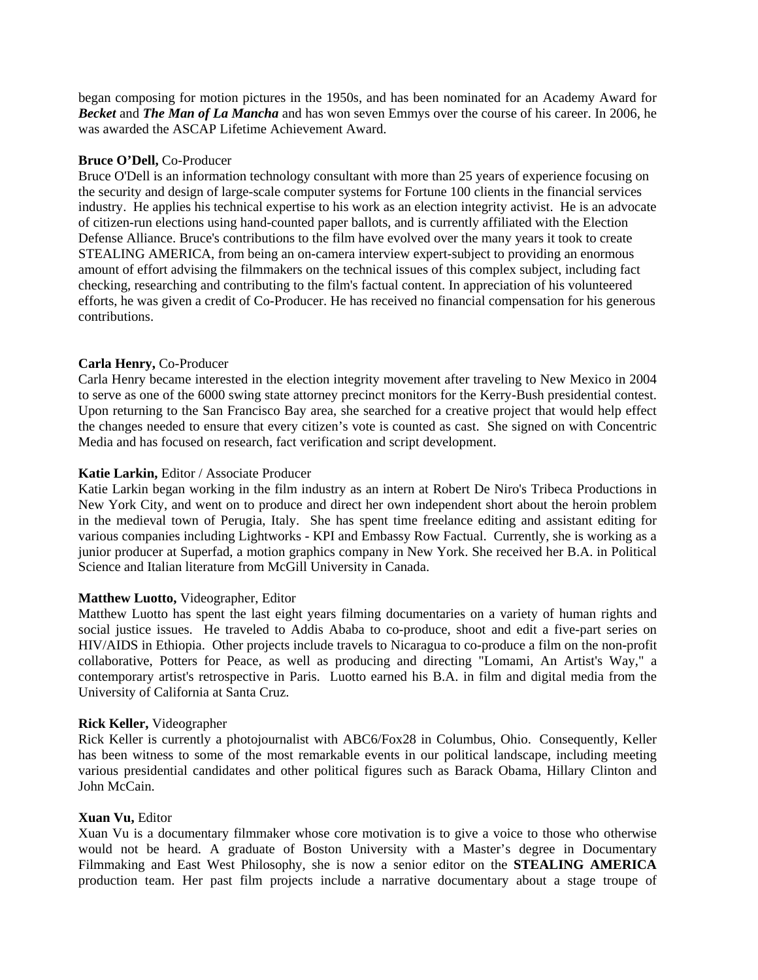began composing for motion pictures in the 1950s, and has been nominated for an Academy Award for *Becket* and *The Man of La Mancha* and has won seven Emmys over the course of his career. In 2006, he was awarded the ASCAP Lifetime Achievement Award.

# **Bruce O'Dell,** Co-Producer

Bruce O'Dell is an information technology consultant with more than 25 years of experience focusing on the security and design of large-scale computer systems for Fortune 100 clients in the financial services industry. He applies his technical expertise to his work as an election integrity activist. He is an advocate of citizen-run elections using hand-counted paper ballots, and is currently affiliated with the Election Defense Alliance. Bruce's contributions to the film have evolved over the many years it took to create STEALING AMERICA, from being an on-camera interview expert-subject to providing an enormous amount of effort advising the filmmakers on the technical issues of this complex subject, including fact checking, researching and contributing to the film's factual content. In appreciation of his volunteered efforts, he was given a credit of Co-Producer. He has received no financial compensation for his generous contributions.

# **Carla Henry,** Co-Producer

Carla Henry became interested in the election integrity movement after traveling to New Mexico in 2004 to serve as one of the 6000 swing state attorney precinct monitors for the Kerry-Bush presidential contest. Upon returning to the San Francisco Bay area, she searched for a creative project that would help effect the changes needed to ensure that every citizen's vote is counted as cast. She signed on with Concentric Media and has focused on research, fact verification and script development.

# **Katie Larkin,** Editor / Associate Producer

Katie Larkin began working in the film industry as an intern at Robert De Niro's Tribeca Productions in New York City, and went on to produce and direct her own independent short about the heroin problem in the medieval town of Perugia, Italy. She has spent time freelance editing and assistant editing for various companies including Lightworks - KPI and Embassy Row Factual. Currently, she is working as a junior producer at Superfad, a motion graphics company in New York. She received her B.A. in Political Science and Italian literature from McGill University in Canada.

# **Matthew Luotto,** Videographer, Editor

Matthew Luotto has spent the last eight years filming documentaries on a variety of human rights and social justice issues. He traveled to Addis Ababa to co-produce, shoot and edit a five-part series on HIV/AIDS in Ethiopia. Other projects include travels to Nicaragua to co-produce a film on the non-profit collaborative, Potters for Peace, as well as producing and directing "Lomami, An Artist's Way," a contemporary artist's retrospective in Paris. Luotto earned his B.A. in film and digital media from the University of California at Santa Cruz.

# **Rick Keller,** Videographer

Rick Keller is currently a photojournalist with ABC6/Fox28 in Columbus, Ohio. Consequently, Keller has been witness to some of the most remarkable events in our political landscape, including meeting various presidential candidates and other political figures such as Barack Obama, Hillary Clinton and John McCain.

# **Xuan Vu,** Editor

Xuan Vu is a documentary filmmaker whose core motivation is to give a voice to those who otherwise would not be heard. A graduate of Boston University with a Master's degree in Documentary Filmmaking and East West Philosophy, she is now a senior editor on the **STEALING AMERICA** production team. Her past film projects include a narrative documentary about a stage troupe of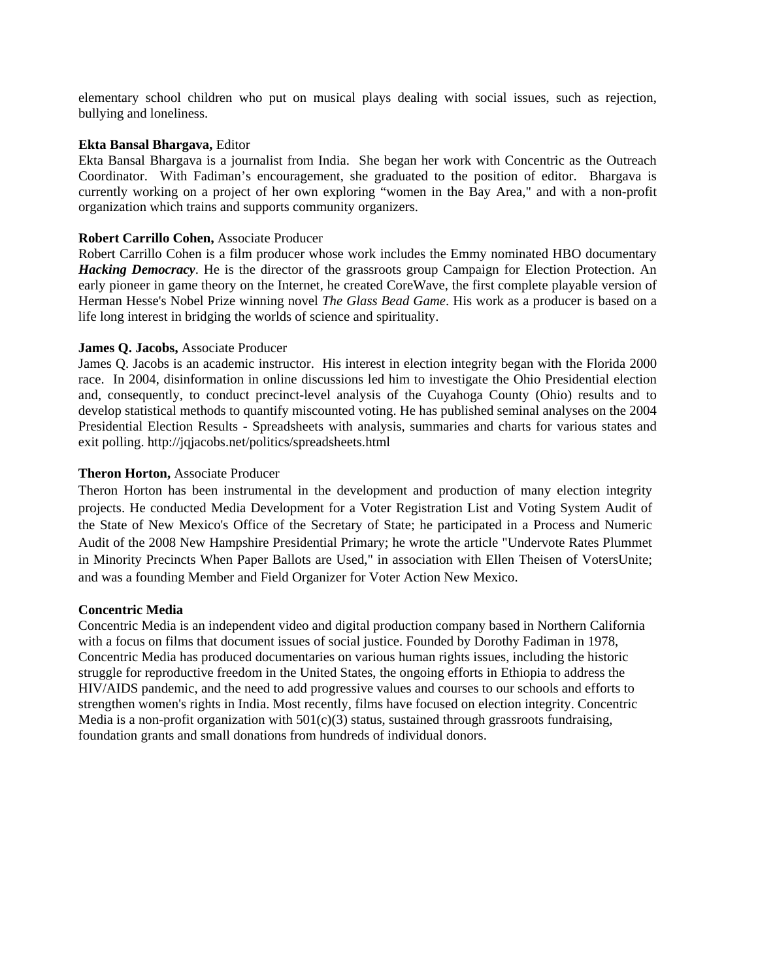elementary school children who put on musical plays dealing with social issues, such as rejection, bullying and loneliness.

#### **Ekta Bansal Bhargava,** Editor

Ekta Bansal Bhargava is a journalist from India. She began her work with Concentric as the Outreach Coordinator. With Fadiman's encouragement, she graduated to the position of editor. Bhargava is currently working on a project of her own exploring "women in the Bay Area," and with a non-profit organization which trains and supports community organizers.

## **Robert Carrillo Cohen,** Associate Producer

Robert Carrillo Cohen is a film producer whose work includes the Emmy nominated HBO documentary *Hacking Democracy*. He is the director of the grassroots group Campaign for Election Protection. An early pioneer in game theory on the Internet, he created CoreWave, the first complete playable version of Herman Hesse's Nobel Prize winning novel *The Glass Bead Game*. His work as a producer is based on a life long interest in bridging the worlds of science and spirituality.

#### **James Q. Jacobs,** Associate Producer

James Q. Jacobs is an academic instructor. His interest in election integrity began with the Florida 2000 race. In 2004, disinformation in online discussions led him to investigate the Ohio Presidential election and, consequently, to conduct precinct-level analysis of the Cuyahoga County (Ohio) results and to develop statistical methods to quantify miscounted voting. He has published seminal analyses on the 2004 Presidential Election Results - Spreadsheets with analysis, summaries and charts for various states and exit polling. http://jqjacobs.net/politics/spreadsheets.html

#### **Theron Horton,** Associate Producer

Theron Horton has been instrumental in the development and production of many election integrity projects. He conducted Media Development for a Voter Registration List and Voting System Audit of the State of New Mexico's Office of the Secretary of State; he participated in a Process and Numeric Audit of the 2008 New Hampshire Presidential Primary; he wrote the article "Undervote Rates Plummet in Minority Precincts When Paper Ballots are Used," in association with Ellen Theisen of VotersUnite; and was a founding Member and Field Organizer for Voter Action New Mexico.

# **Concentric Media**

Concentric Media is an independent video and digital production company based in Northern California with a focus on films that document issues of social justice. Founded by Dorothy Fadiman in 1978, Concentric Media has produced documentaries on various human rights issues, including the historic struggle for reproductive freedom in the United States, the ongoing efforts in Ethiopia to address the HIV/AIDS pandemic, and the need to add progressive values and courses to our schools and efforts to strengthen women's rights in India. Most recently, films have focused on election integrity. Concentric Media is a non-profit organization with  $501(c)(3)$  status, sustained through grassroots fundraising, foundation grants and small donations from hundreds of individual donors.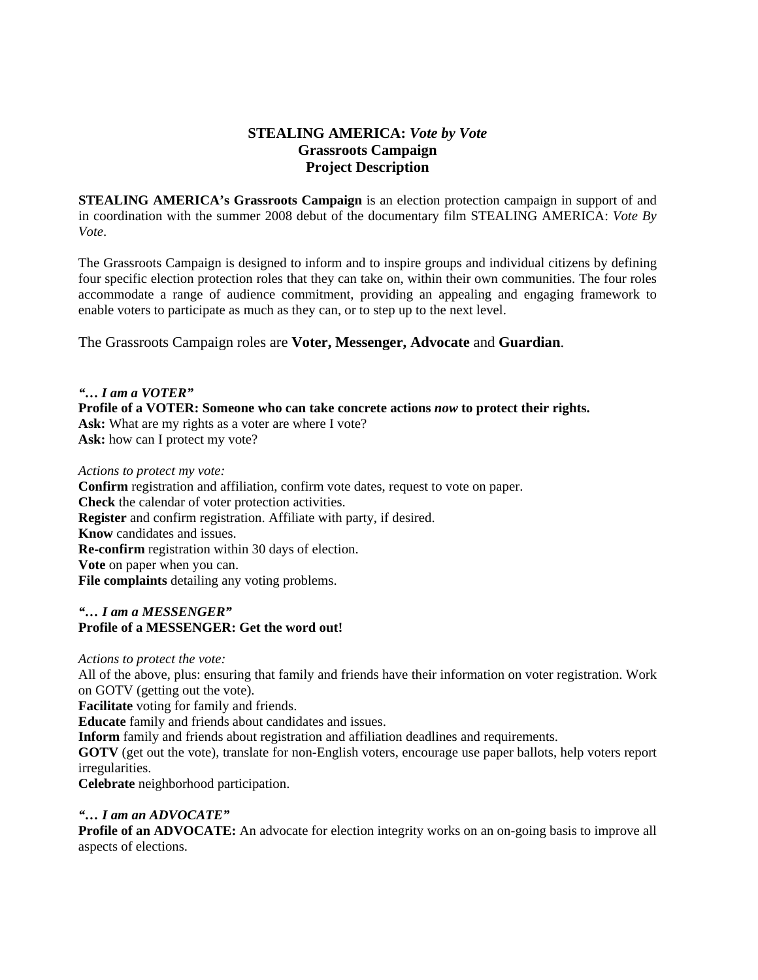# **STEALING AMERICA:** *Vote by Vote* **Grassroots Campaign Project Description**

**STEALING AMERICA's Grassroots Campaign** is an election protection campaign in support of and in coordination with the summer 2008 debut of the documentary film STEALING AMERICA: *Vote By Vote*.

The Grassroots Campaign is designed to inform and to inspire groups and individual citizens by defining four specific election protection roles that they can take on, within their own communities. The four roles accommodate a range of audience commitment, providing an appealing and engaging framework to enable voters to participate as much as they can, or to step up to the next level.

The Grassroots Campaign roles are **Voter, Messenger, Advocate** and **Guardian**.

*"… I am a VOTER"*  **Profile of a VOTER: Someone who can take concrete actions** *now* **to protect their rights.**  Ask: What are my rights as a voter are where I vote? **Ask:** how can I protect my vote?

*Actions to protect my vote:* 

**Confirm** registration and affiliation, confirm vote dates, request to vote on paper. **Check** the calendar of voter protection activities. **Register** and confirm registration. Affiliate with party, if desired. **Know** candidates and issues. **Re-confirm** registration within 30 days of election. **Vote** on paper when you can. **File complaints** detailing any voting problems.

# *"… I am a MESSENGER"*  **Profile of a MESSENGER: Get the word out!**

*Actions to protect the vote:* 

All of the above, plus: ensuring that family and friends have their information on voter registration. Work on GOTV (getting out the vote).

**Facilitate** voting for family and friends.

**Educate** family and friends about candidates and issues.

**Inform** family and friends about registration and affiliation deadlines and requirements.

**GOTV** (get out the vote), translate for non-English voters, encourage use paper ballots, help voters report irregularities.

**Celebrate** neighborhood participation.

# *"… I am an ADVOCATE"*

**Profile of an ADVOCATE:** An advocate for election integrity works on an on-going basis to improve all aspects of elections.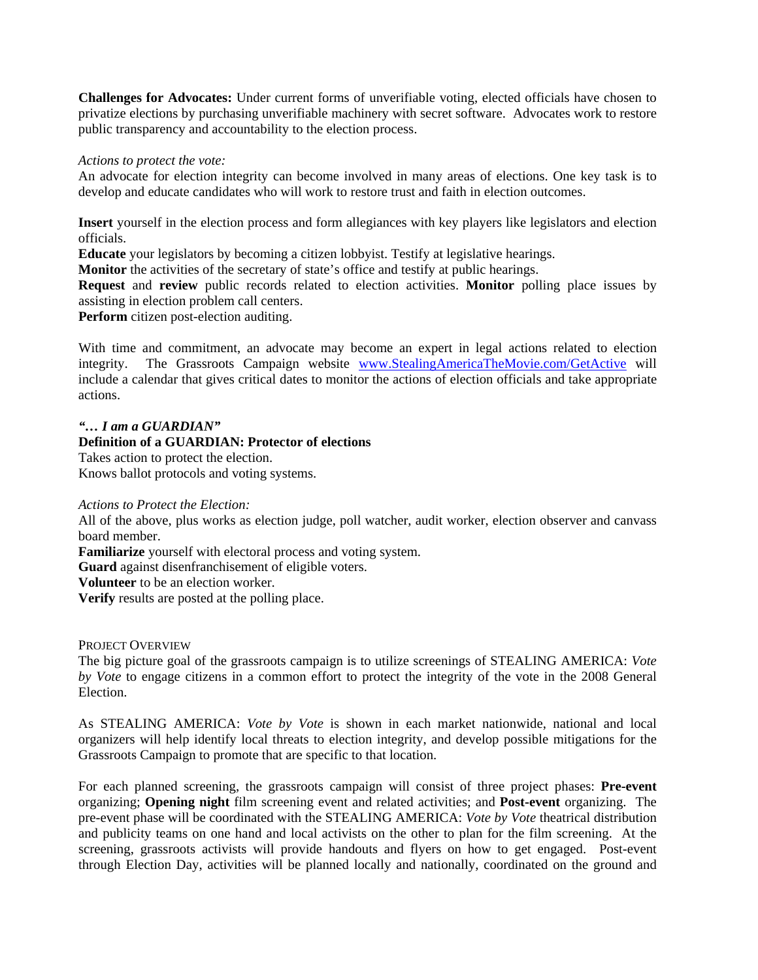**Challenges for Advocates:** Under current forms of unverifiable voting, elected officials have chosen to privatize elections by purchasing unverifiable machinery with secret software. Advocates work to restore public transparency and accountability to the election process.

# *Actions to protect the vote:*

An advocate for election integrity can become involved in many areas of elections. One key task is to develop and educate candidates who will work to restore trust and faith in election outcomes.

**Insert** yourself in the election process and form allegiances with key players like legislators and election officials.

**Educate** your legislators by becoming a citizen lobbyist. Testify at legislative hearings.

**Monitor** the activities of the secretary of state's office and testify at public hearings.

**Request** and **review** public records related to election activities. **Monitor** polling place issues by assisting in election problem call centers.

**Perform** citizen post-election auditing.

With time and commitment, an advocate may become an expert in legal actions related to election integrity. The Grassroots Campaign website [www.StealingAmericaTheMovie.com/GetActive](http://www.stealingamericathemovie.com/GetActive) will include a calendar that gives critical dates to monitor the actions of election officials and take appropriate actions.

# *"… I am a GUARDIAN"*

# **Definition of a GUARDIAN: Protector of elections**

Takes action to protect the election.

Knows ballot protocols and voting systems.

# *Actions to Protect the Election:*

All of the above, plus works as election judge, poll watcher, audit worker, election observer and canvass board member.

**Familiarize** yourself with electoral process and voting system.

**Guard** against disenfranchisement of eligible voters.

**Volunteer** to be an election worker.

**Verify** results are posted at the polling place.

# PROJECT OVERVIEW

The big picture goal of the grassroots campaign is to utilize screenings of STEALING AMERICA: *Vote by Vote* to engage citizens in a common effort to protect the integrity of the vote in the 2008 General Election.

As STEALING AMERICA: *Vote by Vote* is shown in each market nationwide, national and local organizers will help identify local threats to election integrity, and develop possible mitigations for the Grassroots Campaign to promote that are specific to that location.

For each planned screening, the grassroots campaign will consist of three project phases: **Pre-event**  organizing; **Opening night** film screening event and related activities; and **Post-event** organizing. The pre-event phase will be coordinated with the STEALING AMERICA: *Vote by Vote* theatrical distribution and publicity teams on one hand and local activists on the other to plan for the film screening. At the screening, grassroots activists will provide handouts and flyers on how to get engaged. Post-event through Election Day, activities will be planned locally and nationally, coordinated on the ground and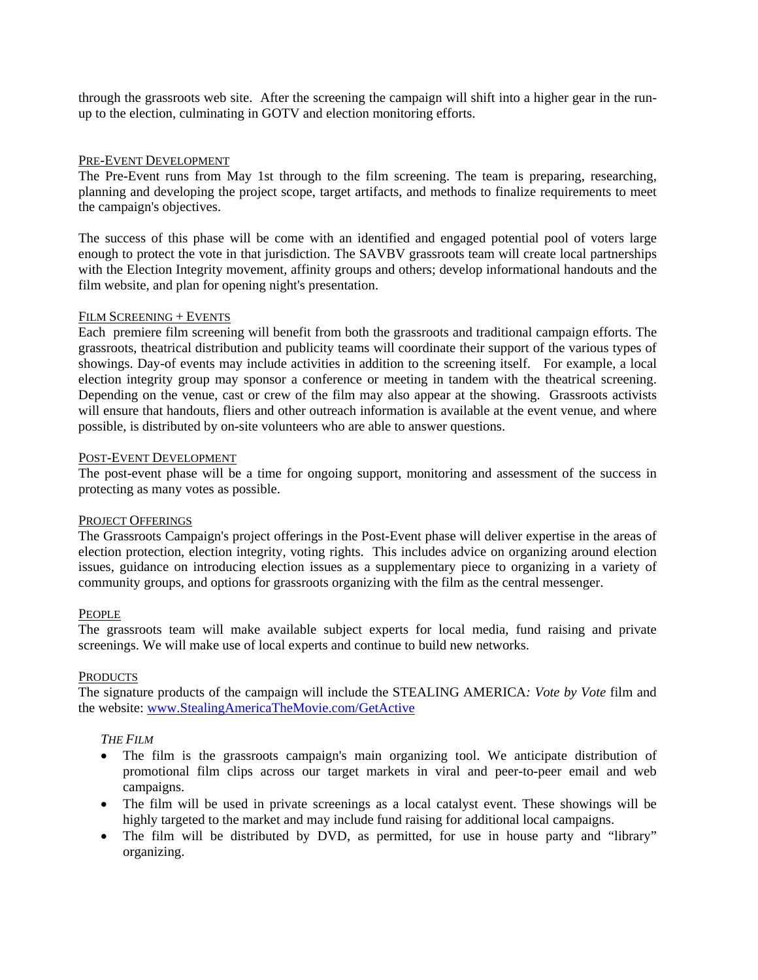through the grassroots web site. After the screening the campaign will shift into a higher gear in the runup to the election, culminating in GOTV and election monitoring efforts.

#### PRE-EVENT DEVELOPMENT

The Pre-Event runs from May 1st through to the film screening. The team is preparing, researching, planning and developing the project scope, target artifacts, and methods to finalize requirements to meet the campaign's objectives.

The success of this phase will be come with an identified and engaged potential pool of voters large enough to protect the vote in that jurisdiction. The SAVBV grassroots team will create local partnerships with the Election Integrity movement, affinity groups and others; develop informational handouts and the film website, and plan for opening night's presentation.

#### FILM SCREENING + EVENTS

Each premiere film screening will benefit from both the grassroots and traditional campaign efforts. The grassroots, theatrical distribution and publicity teams will coordinate their support of the various types of showings. Day-of events may include activities in addition to the screening itself. For example, a local election integrity group may sponsor a conference or meeting in tandem with the theatrical screening. Depending on the venue, cast or crew of the film may also appear at the showing. Grassroots activists will ensure that handouts, fliers and other outreach information is available at the event venue, and where possible, is distributed by on-site volunteers who are able to answer questions.

#### POST-EVENT DEVELOPMENT

The post-event phase will be a time for ongoing support, monitoring and assessment of the success in protecting as many votes as possible.

#### PROJECT OFFERINGS

The Grassroots Campaign's project offerings in the Post-Event phase will deliver expertise in the areas of election protection, election integrity, voting rights. This includes advice on organizing around election issues, guidance on introducing election issues as a supplementary piece to organizing in a variety of community groups, and options for grassroots organizing with the film as the central messenger.

#### PEOPLE

The grassroots team will make available subject experts for local media, fund raising and private screenings. We will make use of local experts and continue to build new networks.

#### **PRODUCTS**

The signature products of the campaign will include the STEALING AMERICA*: Vote by Vote* film and the website: [www.StealingAmericaTheMovie.com/GetActive](http://www.stealingamericathemovie.com/GetActive)

# *THE FILM*

- The film is the grassroots campaign's main organizing tool. We anticipate distribution of promotional film clips across our target markets in viral and peer-to-peer email and web campaigns.
- The film will be used in private screenings as a local catalyst event. These showings will be highly targeted to the market and may include fund raising for additional local campaigns.
- The film will be distributed by DVD, as permitted, for use in house party and "library" organizing.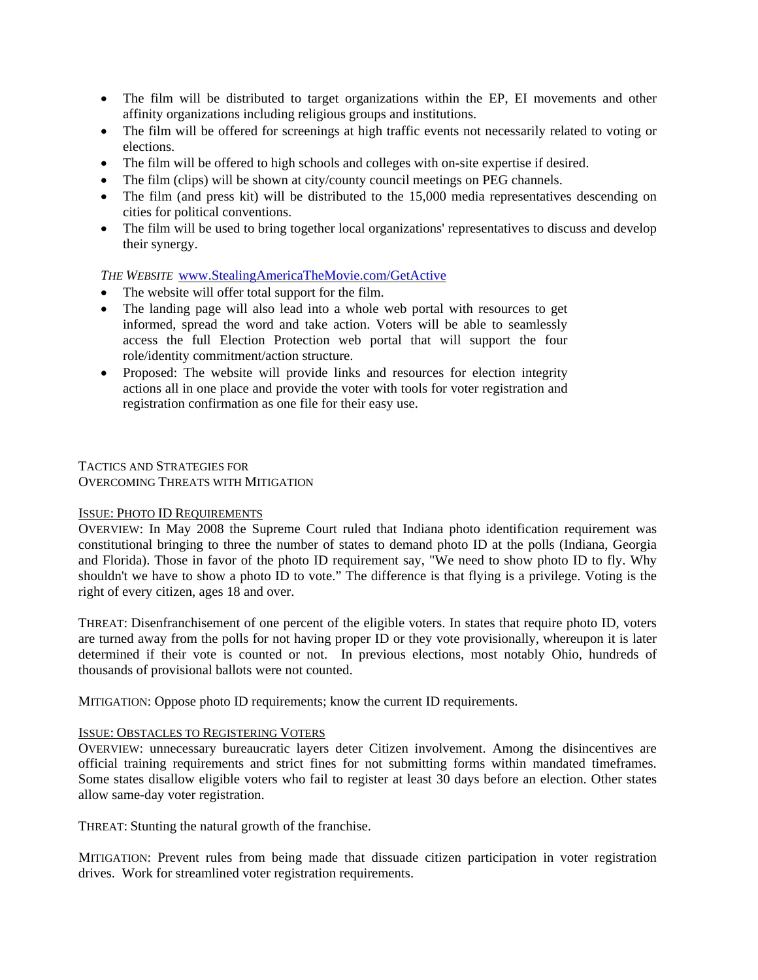- The film will be distributed to target organizations within the EP, EI movements and other affinity organizations including religious groups and institutions.
- The film will be offered for screenings at high traffic events not necessarily related to voting or elections.
- The film will be offered to high schools and colleges with on-site expertise if desired.
- The film (clips) will be shown at city/county council meetings on PEG channels.
- The film (and press kit) will be distributed to the 15,000 media representatives descending on cities for political conventions.
- The film will be used to bring together local organizations' representatives to discuss and develop their synergy.

# *THE WEBSITE* [www.StealingAmericaTheMovie.com/GetActive](http://www.stealingamericathemovie.com/GetActive)

- The website will offer total support for the film.
- The landing page will also lead into a whole web portal with resources to get informed, spread the word and take action. Voters will be able to seamlessly access the full Election Protection web portal that will support the four role/identity commitment/action structure.
- Proposed: The website will provide links and resources for election integrity actions all in one place and provide the voter with tools for voter registration and registration confirmation as one file for their easy use.

TACTICS AND STRATEGIES FOR OVERCOMING THREATS WITH MITIGATION

# ISSUE: PHOTO ID REQUIREMENTS

OVERVIEW: In May 2008 the Supreme Court ruled that Indiana photo identification requirement was constitutional bringing to three the number of states to demand photo ID at the polls (Indiana, Georgia and Florida). Those in favor of the photo ID requirement say, "We need to show photo ID to fly. Why shouldn't we have to show a photo ID to vote." The difference is that flying is a privilege. Voting is the right of every citizen, ages 18 and over.

THREAT: Disenfranchisement of one percent of the eligible voters. In states that require photo ID, voters are turned away from the polls for not having proper ID or they vote provisionally, whereupon it is later determined if their vote is counted or not. In previous elections, most notably Ohio, hundreds of thousands of provisional ballots were not counted.

MITIGATION: Oppose photo ID requirements; know the current ID requirements.

# ISSUE: OBSTACLES TO REGISTERING VOTERS

OVERVIEW: unnecessary bureaucratic layers deter Citizen involvement. Among the disincentives are official training requirements and strict fines for not submitting forms within mandated timeframes. Some states disallow eligible voters who fail to register at least 30 days before an election. Other states allow same-day voter registration.

THREAT: Stunting the natural growth of the franchise.

MITIGATION: Prevent rules from being made that dissuade citizen participation in voter registration drives. Work for streamlined voter registration requirements.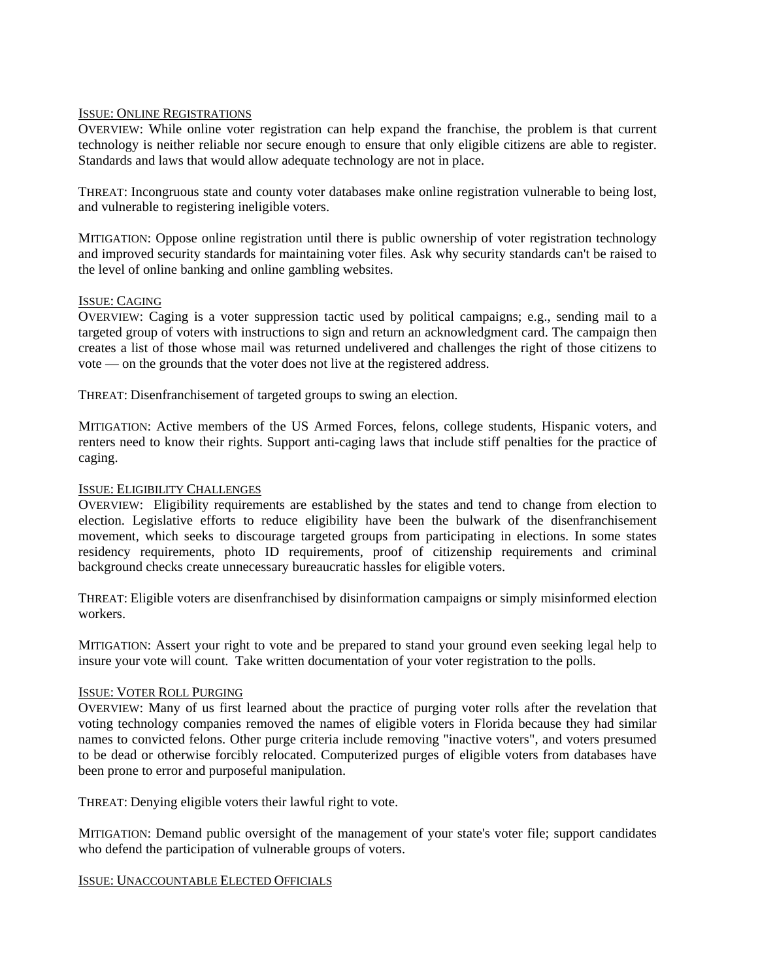# ISSUE: ONLINE REGISTRATIONS

OVERVIEW: While online voter registration can help expand the franchise, the problem is that current technology is neither reliable nor secure enough to ensure that only eligible citizens are able to register. Standards and laws that would allow adequate technology are not in place.

THREAT: Incongruous state and county voter databases make online registration vulnerable to being lost, and vulnerable to registering ineligible voters.

MITIGATION: Oppose online registration until there is public ownership of voter registration technology and improved security standards for maintaining voter files. Ask why security standards can't be raised to the level of online banking and online gambling websites.

# ISSUE: CAGING

OVERVIEW: Caging is a voter suppression tactic used by political campaigns; e.g., sending mail to a targeted group of voters with instructions to sign and return an acknowledgment card. The campaign then creates a list of those whose mail was returned undelivered and challenges the right of those citizens to vote — on the grounds that the voter does not live at the registered address.

THREAT: Disenfranchisement of targeted groups to swing an election.

MITIGATION: Active members of the US Armed Forces, felons, college students, Hispanic voters, and renters need to know their rights. Support anti-caging laws that include stiff penalties for the practice of caging.

# ISSUE: ELIGIBILITY CHALLENGES

OVERVIEW: Eligibility requirements are established by the states and tend to change from election to election. Legislative efforts to reduce eligibility have been the bulwark of the disenfranchisement movement, which seeks to discourage targeted groups from participating in elections. In some states residency requirements, photo ID requirements, proof of citizenship requirements and criminal background checks create unnecessary bureaucratic hassles for eligible voters.

THREAT: Eligible voters are disenfranchised by disinformation campaigns or simply misinformed election workers.

MITIGATION: Assert your right to vote and be prepared to stand your ground even seeking legal help to insure your vote will count. Take written documentation of your voter registration to the polls.

# ISSUE: VOTER ROLL PURGING

OVERVIEW: Many of us first learned about the practice of purging voter rolls after the revelation that voting technology companies removed the names of eligible voters in Florida because they had similar names to convicted felons. Other purge criteria include removing "inactive voters", and voters presumed to be dead or otherwise forcibly relocated. Computerized purges of eligible voters from databases have been prone to error and purposeful manipulation.

THREAT: Denying eligible voters their lawful right to vote.

MITIGATION: Demand public oversight of the management of your state's voter file; support candidates who defend the participation of vulnerable groups of voters.

# ISSUE: UNACCOUNTABLE ELECTED OFFICIALS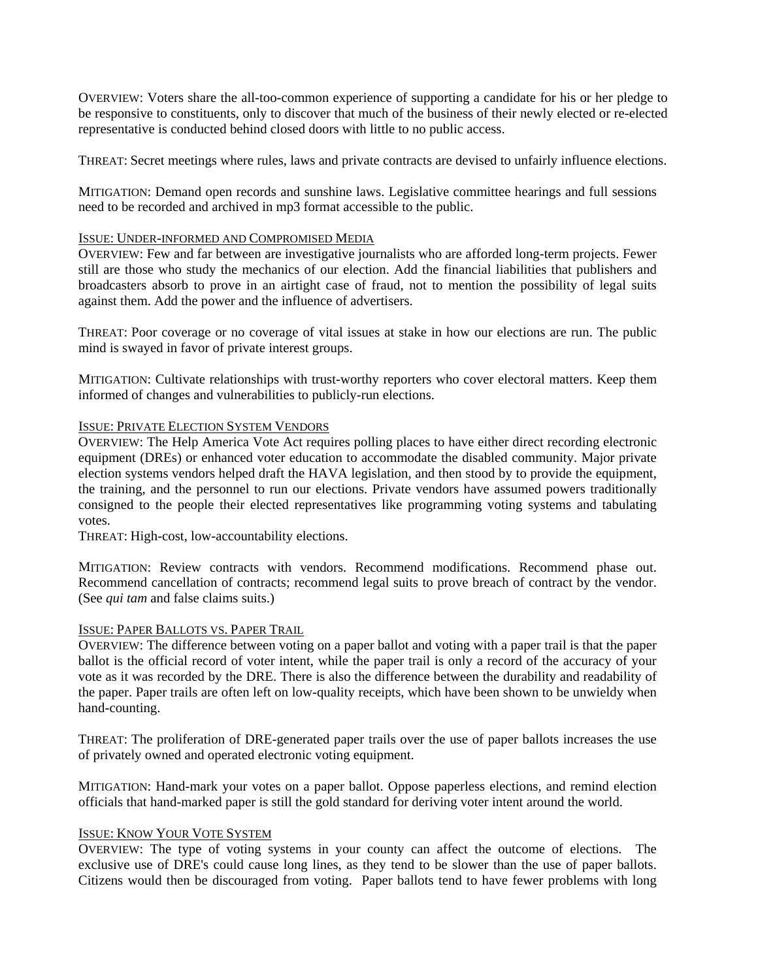OVERVIEW: Voters share the all-too-common experience of supporting a candidate for his or her pledge to be responsive to constituents, only to discover that much of the business of their newly elected or re-elected representative is conducted behind closed doors with little to no public access.

THREAT: Secret meetings where rules, laws and private contracts are devised to unfairly influence elections.

MITIGATION: Demand open records and sunshine laws. Legislative committee hearings and full sessions need to be recorded and archived in mp3 format accessible to the public.

# ISSUE: UNDER-INFORMED AND COMPROMISED MEDIA

OVERVIEW: Few and far between are investigative journalists who are afforded long-term projects. Fewer still are those who study the mechanics of our election. Add the financial liabilities that publishers and broadcasters absorb to prove in an airtight case of fraud, not to mention the possibility of legal suits against them. Add the power and the influence of advertisers.

THREAT: Poor coverage or no coverage of vital issues at stake in how our elections are run. The public mind is swayed in favor of private interest groups.

MITIGATION: Cultivate relationships with trust-worthy reporters who cover electoral matters. Keep them informed of changes and vulnerabilities to publicly-run elections.

# ISSUE: PRIVATE ELECTION SYSTEM VENDORS

OVERVIEW: The Help America Vote Act requires polling places to have either direct recording electronic equipment (DREs) or enhanced voter education to accommodate the disabled community. Major private election systems vendors helped draft the HAVA legislation, and then stood by to provide the equipment, the training, and the personnel to run our elections. Private vendors have assumed powers traditionally consigned to the people their elected representatives like programming voting systems and tabulating votes.

THREAT: High-cost, low-accountability elections.

MITIGATION: Review contracts with vendors. Recommend modifications. Recommend phase out. Recommend cancellation of contracts; recommend legal suits to prove breach of contract by the vendor. (See *qui tam* and false claims suits.)

# ISSUE: PAPER BALLOTS VS. PAPER TRAIL

OVERVIEW: The difference between voting on a paper ballot and voting with a paper trail is that the paper ballot is the official record of voter intent, while the paper trail is only a record of the accuracy of your vote as it was recorded by the DRE. There is also the difference between the durability and readability of the paper. Paper trails are often left on low-quality receipts, which have been shown to be unwieldy when hand-counting.

THREAT: The proliferation of DRE-generated paper trails over the use of paper ballots increases the use of privately owned and operated electronic voting equipment.

MITIGATION: Hand-mark your votes on a paper ballot. Oppose paperless elections, and remind election officials that hand-marked paper is still the gold standard for deriving voter intent around the world.

# ISSUE: KNOW YOUR VOTE SYSTEM

OVERVIEW: The type of voting systems in your county can affect the outcome of elections. The exclusive use of DRE's could cause long lines, as they tend to be slower than the use of paper ballots. Citizens would then be discouraged from voting. Paper ballots tend to have fewer problems with long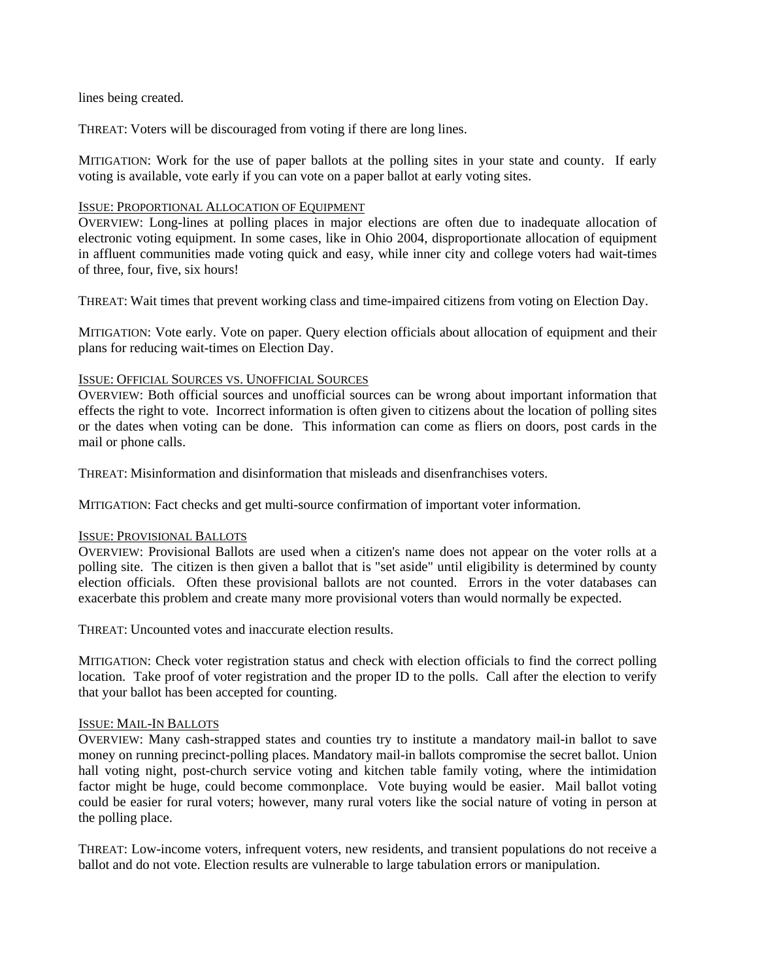# lines being created.

THREAT: Voters will be discouraged from voting if there are long lines.

MITIGATION: Work for the use of paper ballots at the polling sites in your state and county. If early voting is available, vote early if you can vote on a paper ballot at early voting sites.

# ISSUE: PROPORTIONAL ALLOCATION OF EQUIPMENT

OVERVIEW: Long-lines at polling places in major elections are often due to inadequate allocation of electronic voting equipment. In some cases, like in Ohio 2004, disproportionate allocation of equipment in affluent communities made voting quick and easy, while inner city and college voters had wait-times of three, four, five, six hours!

THREAT: Wait times that prevent working class and time-impaired citizens from voting on Election Day.

MITIGATION: Vote early. Vote on paper. Query election officials about allocation of equipment and their plans for reducing wait-times on Election Day.

# ISSUE: OFFICIAL SOURCES VS. UNOFFICIAL SOURCES

OVERVIEW: Both official sources and unofficial sources can be wrong about important information that effects the right to vote. Incorrect information is often given to citizens about the location of polling sites or the dates when voting can be done. This information can come as fliers on doors, post cards in the mail or phone calls.

THREAT: Misinformation and disinformation that misleads and disenfranchises voters.

MITIGATION: Fact checks and get multi-source confirmation of important voter information.

# ISSUE: PROVISIONAL BALLOTS

OVERVIEW: Provisional Ballots are used when a citizen's name does not appear on the voter rolls at a polling site. The citizen is then given a ballot that is "set aside" until eligibility is determined by county election officials. Often these provisional ballots are not counted. Errors in the voter databases can exacerbate this problem and create many more provisional voters than would normally be expected.

THREAT: Uncounted votes and inaccurate election results.

MITIGATION: Check voter registration status and check with election officials to find the correct polling location. Take proof of voter registration and the proper ID to the polls. Call after the election to verify that your ballot has been accepted for counting.

# ISSUE: MAIL-IN BALLOTS

OVERVIEW: Many cash-strapped states and counties try to institute a mandatory mail-in ballot to save money on running precinct-polling places. Mandatory mail-in ballots compromise the secret ballot. Union hall voting night, post-church service voting and kitchen table family voting, where the intimidation factor might be huge, could become commonplace. Vote buying would be easier. Mail ballot voting could be easier for rural voters; however, many rural voters like the social nature of voting in person at the polling place.

THREAT: Low-income voters, infrequent voters, new residents, and transient populations do not receive a ballot and do not vote. Election results are vulnerable to large tabulation errors or manipulation.